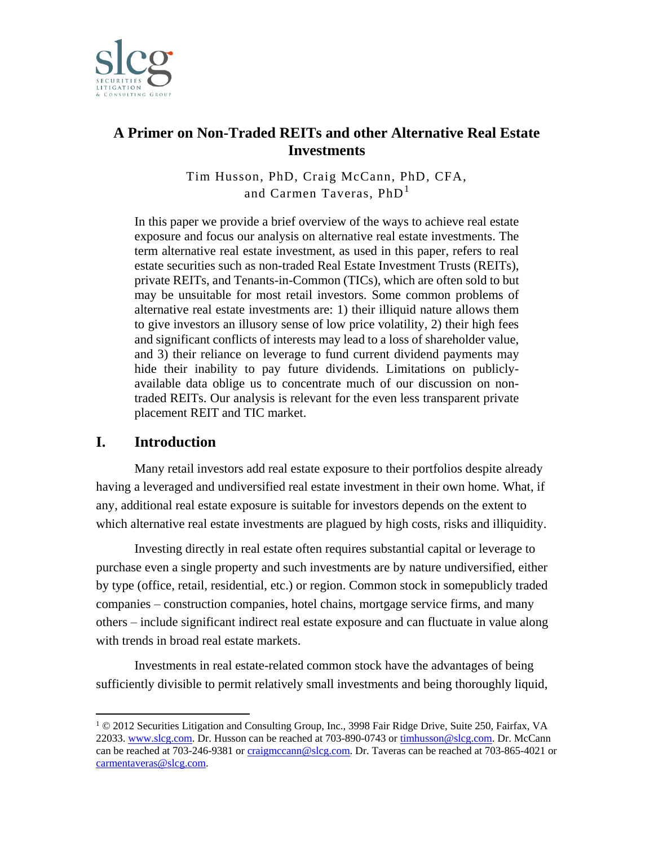

## **A Primer on Non-Traded REITs and other Alternative Real Estate Investments**

Tim Husson, PhD, Craig McCann, PhD, CFA, and Carmen Taveras, PhD<sup>1</sup>

In this paper we provide a brief overview of the ways to achieve real estate exposure and focus our analysis on alternative real estate investments. The term alternative real estate investment, as used in this paper, refers to real estate securities such as non-traded Real Estate Investment Trusts (REITs), private REITs, and Tenants-in-Common (TICs), which are often sold to but may be unsuitable for most retail investors. Some common problems of alternative real estate investments are: 1) their illiquid nature allows them to give investors an illusory sense of low price volatility, 2) their high fees and significant conflicts of interests may lead to a loss of shareholder value, and 3) their reliance on leverage to fund current dividend payments may hide their inability to pay future dividends. Limitations on publiclyavailable data oblige us to concentrate much of our discussion on nontraded REITs. Our analysis is relevant for the even less transparent private placement REIT and TIC market.

## **I. Introduction**

 $\overline{a}$ 

Many retail investors add real estate exposure to their portfolios despite already having a leveraged and undiversified real estate investment in their own home. What, if any, additional real estate exposure is suitable for investors depends on the extent to which alternative real estate investments are plagued by high costs, risks and illiquidity.

Investing directly in real estate often requires substantial capital or leverage to purchase even a single property and such investments are by nature undiversified, either by type (office, retail, residential, etc.) or region. Common stock in somepublicly traded companies – construction companies, hotel chains, mortgage service firms, and many others – include significant indirect real estate exposure and can fluctuate in value along with trends in broad real estate markets.

Investments in real estate-related common stock have the advantages of being sufficiently divisible to permit relatively small investments and being thoroughly liquid,

<sup>1</sup> © 2012 Securities Litigation and Consulting Group, Inc., 3998 Fair Ridge Drive, Suite 250, Fairfax, VA 22033. [www.slcg.com.](http://www.slcg.com/) Dr. Husson can be reached at 703-890-0743 o[r timhusson@slcg.com.](mailto:timhusson@slcg.com) Dr. McCann can be reached at 703-246-9381 o[r craigmccann@slcg.com.](mailto:craigmccann@slcg.com) Dr. Taveras can be reached at 703-865-4021 or [carmentaveras@slcg.com.](mailto:carmentaveras@slcg.com)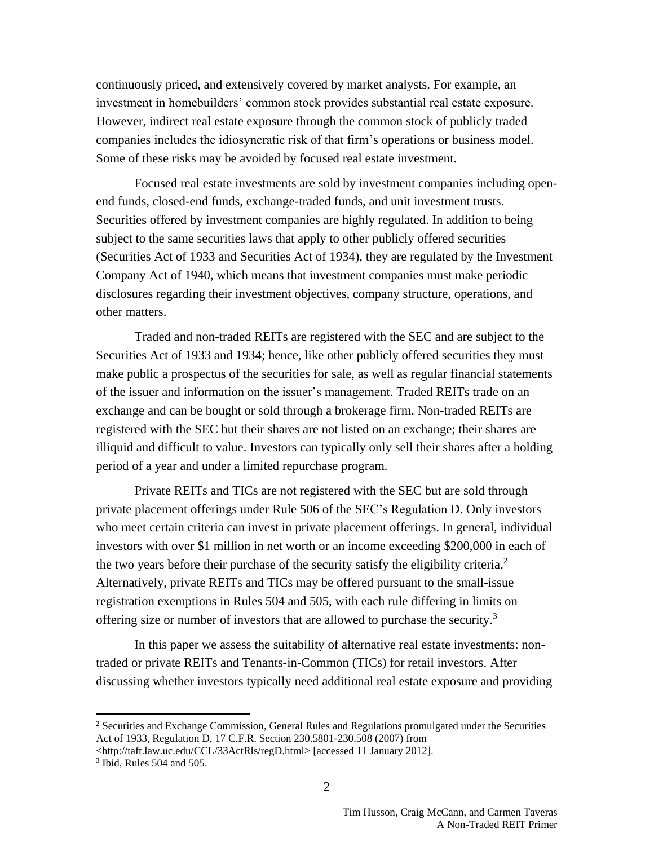continuously priced, and extensively covered by market analysts. For example, an investment in homebuilders' common stock provides substantial real estate exposure. However, indirect real estate exposure through the common stock of publicly traded companies includes the idiosyncratic risk of that firm's operations or business model. Some of these risks may be avoided by focused real estate investment.

Focused real estate investments are sold by investment companies including openend funds, closed-end funds, exchange-traded funds, and unit investment trusts. Securities offered by investment companies are highly regulated. In addition to being subject to the same securities laws that apply to other publicly offered securities (Securities Act of 1933 and Securities Act of 1934), they are regulated by the Investment Company Act of 1940, which means that investment companies must make periodic disclosures regarding their investment objectives, company structure, operations, and other matters.

Traded and non-traded REITs are registered with the SEC and are subject to the Securities Act of 1933 and 1934; hence, like other publicly offered securities they must make public a prospectus of the securities for sale, as well as regular financial statements of the issuer and information on the issuer's management. Traded REITs trade on an exchange and can be bought or sold through a brokerage firm. Non-traded REITs are registered with the SEC but their shares are not listed on an exchange; their shares are illiquid and difficult to value. Investors can typically only sell their shares after a holding period of a year and under a limited repurchase program.

Private REITs and TICs are not registered with the SEC but are sold through private placement offerings under Rule 506 of the SEC's Regulation D. Only investors who meet certain criteria can invest in private placement offerings. In general, individual investors with over \$1 million in net worth or an income exceeding \$200,000 in each of the two years before their purchase of the security satisfy the eligibility criteria.<sup>2</sup> Alternatively, private REITs and TICs may be offered pursuant to the small-issue registration exemptions in Rules 504 and 505, with each rule differing in limits on offering size or number of investors that are allowed to purchase the security.<sup>3</sup>

In this paper we assess the suitability of alternative real estate investments: nontraded or private REITs and Tenants-in-Common (TICs) for retail investors. After discussing whether investors typically need additional real estate exposure and providing

<sup>&</sup>lt;sup>2</sup> Securities and Exchange Commission, General Rules and Regulations promulgated under the Securities Act of 1933, Regulation D, 17 C.F.R. Section 230.5801-230.508 (2007) from

<sup>&</sup>lt;http://taft.law.uc.edu/CCL/33ActRls/regD.html> [accessed 11 January 2012].

<sup>3</sup> Ibid, Rules 504 and 505.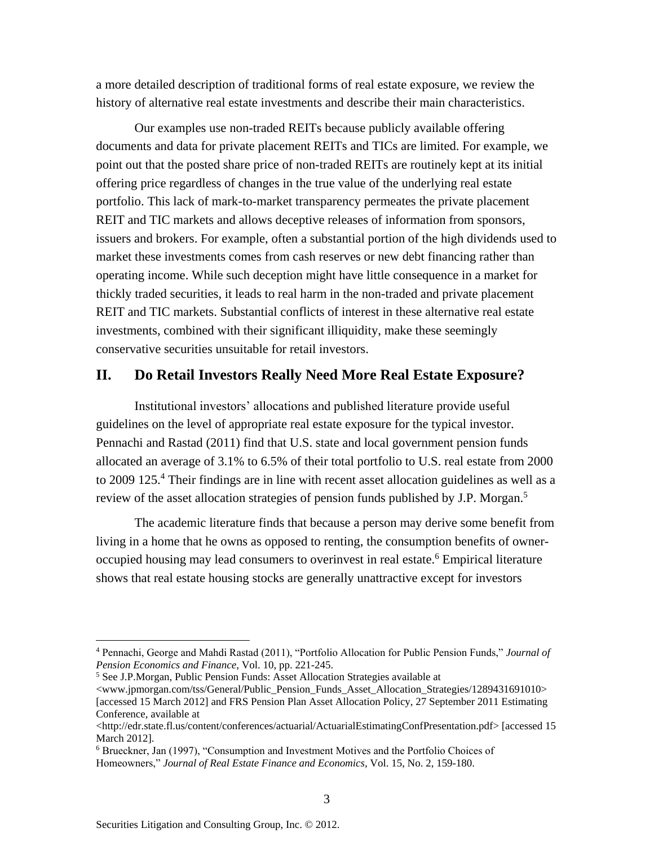a more detailed description of traditional forms of real estate exposure, we review the history of alternative real estate investments and describe their main characteristics.

Our examples use non-traded REITs because publicly available offering documents and data for private placement REITs and TICs are limited. For example, we point out that the posted share price of non-traded REITs are routinely kept at its initial offering price regardless of changes in the true value of the underlying real estate portfolio. This lack of mark-to-market transparency permeates the private placement REIT and TIC markets and allows deceptive releases of information from sponsors, issuers and brokers. For example, often a substantial portion of the high dividends used to market these investments comes from cash reserves or new debt financing rather than operating income. While such deception might have little consequence in a market for thickly traded securities, it leads to real harm in the non-traded and private placement REIT and TIC markets. Substantial conflicts of interest in these alternative real estate investments, combined with their significant illiquidity, make these seemingly conservative securities unsuitable for retail investors.

### **II. Do Retail Investors Really Need More Real Estate Exposure?**

Institutional investors' allocations and published literature provide useful guidelines on the level of appropriate real estate exposure for the typical investor. Pennachi and Rastad (2011) find that U.S. state and local government pension funds allocated an average of 3.1% to 6.5% of their total portfolio to U.S. real estate from 2000 to 2009 125.<sup>4</sup> Their findings are in line with recent asset allocation guidelines as well as a review of the asset allocation strategies of pension funds published by J.P. Morgan.<sup>5</sup>

The academic literature finds that because a person may derive some benefit from living in a home that he owns as opposed to renting, the consumption benefits of owneroccupied housing may lead consumers to overinvest in real estate.<sup>6</sup> Empirical literature shows that real estate housing stocks are generally unattractive except for investors

<sup>4</sup> Pennachi, George and Mahdi Rastad (2011), "Portfolio Allocation for Public Pension Funds," *Journal of Pension Economics and Finance*, Vol. 10, pp. 221-245.

<sup>5</sup> See J.P.Morgan, Public Pension Funds: Asset Allocation Strategies available at

<sup>&</sup>lt;www.jpmorgan.com/tss/General/Public\_Pension\_Funds\_Asset\_Allocation\_Strategies/1289431691010> [accessed 15 March 2012] and FRS Pension Plan Asset Allocation Policy, 27 September 2011 Estimating Conference, available at

<sup>&</sup>lt;http://edr.state.fl.us/content/conferences/actuarial/ActuarialEstimatingConfPresentation.pdf> [accessed 15 March 2012].

<sup>6</sup> Brueckner, Jan (1997), "Consumption and Investment Motives and the Portfolio Choices of Homeowners," *Journal of Real Estate Finance and Economics*, Vol. 15, No. 2, 159-180.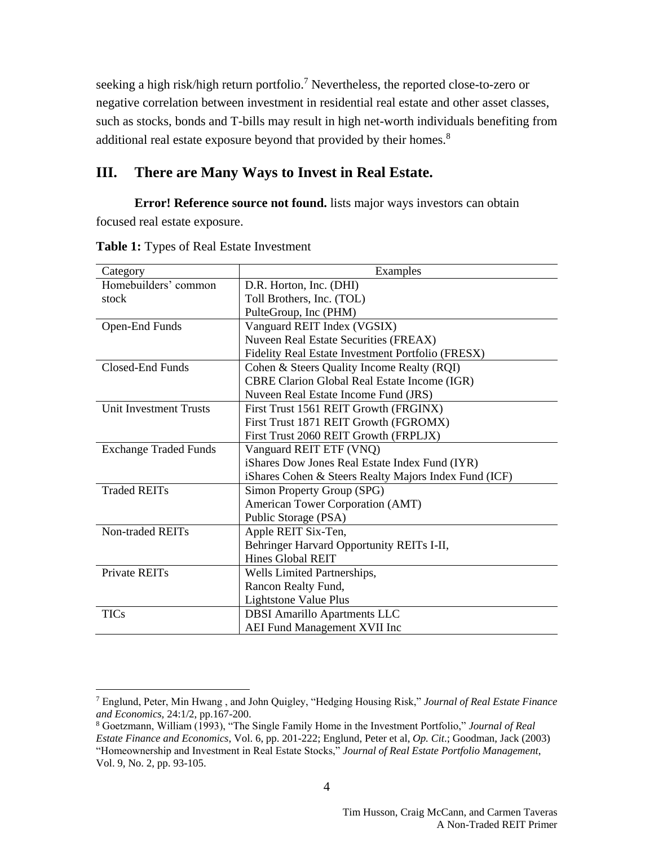seeking a high risk/high return portfolio.<sup>7</sup> Nevertheless, the reported close-to-zero or negative correlation between investment in residential real estate and other asset classes, such as stocks, bonds and T-bills may result in high net-worth individuals benefiting from additional real estate exposure beyond that provided by their homes.<sup>8</sup>

## **III. There are Many Ways to Invest in Real Estate.**

**Error! Reference source not found.** lists major ways investors can obtain focused real estate exposure.

| Category                      | Examples                                              |  |  |
|-------------------------------|-------------------------------------------------------|--|--|
| Homebuilders' common          | D.R. Horton, Inc. (DHI)                               |  |  |
| stock                         | Toll Brothers, Inc. (TOL)                             |  |  |
|                               | PulteGroup, Inc (PHM)                                 |  |  |
| Open-End Funds                | Vanguard REIT Index (VGSIX)                           |  |  |
|                               | Nuveen Real Estate Securities (FREAX)                 |  |  |
|                               | Fidelity Real Estate Investment Portfolio (FRESX)     |  |  |
| Closed-End Funds              | Cohen & Steers Quality Income Realty (RQI)            |  |  |
|                               | <b>CBRE Clarion Global Real Estate Income (IGR)</b>   |  |  |
|                               | Nuveen Real Estate Income Fund (JRS)                  |  |  |
| <b>Unit Investment Trusts</b> | First Trust 1561 REIT Growth (FRGINX)                 |  |  |
|                               | First Trust 1871 REIT Growth (FGROMX)                 |  |  |
|                               | First Trust 2060 REIT Growth (FRPLJX)                 |  |  |
| <b>Exchange Traded Funds</b>  | Vanguard REIT ETF (VNQ)                               |  |  |
|                               | iShares Dow Jones Real Estate Index Fund (IYR)        |  |  |
|                               | iShares Cohen & Steers Realty Majors Index Fund (ICF) |  |  |
| <b>Traded REITs</b>           | Simon Property Group (SPG)                            |  |  |
|                               | American Tower Corporation (AMT)                      |  |  |
|                               | Public Storage (PSA)                                  |  |  |
| Non-traded REITs              | Apple REIT Six-Ten,                                   |  |  |
|                               | Behringer Harvard Opportunity REITs I-II,             |  |  |
|                               | Hines Global REIT                                     |  |  |
| <b>Private REITs</b>          | Wells Limited Partnerships,                           |  |  |
|                               | Rancon Realty Fund,                                   |  |  |
|                               | Lightstone Value Plus                                 |  |  |
| <b>TICs</b>                   | <b>DBSI</b> Amarillo Apartments LLC                   |  |  |
|                               | AEI Fund Management XVII Inc                          |  |  |

**Table 1:** Types of Real Estate Investment

<sup>7</sup> Englund, Peter, Min Hwang , and John Quigley, "Hedging Housing Risk," *Journal of Real Estate Finance and Economics,* 24:1/2, pp.167-200.

<sup>8</sup> Goetzmann, William (1993), "The Single Family Home in the Investment Portfolio," *Journal of Real Estate Finance and Economics*, Vol. 6, pp. 201-222; Englund, Peter et al, *Op. Cit*.; Goodman, Jack (2003) "Homeownership and Investment in Real Estate Stocks," *Journal of Real Estate Portfolio Management*, Vol. 9, No. 2, pp. 93-105.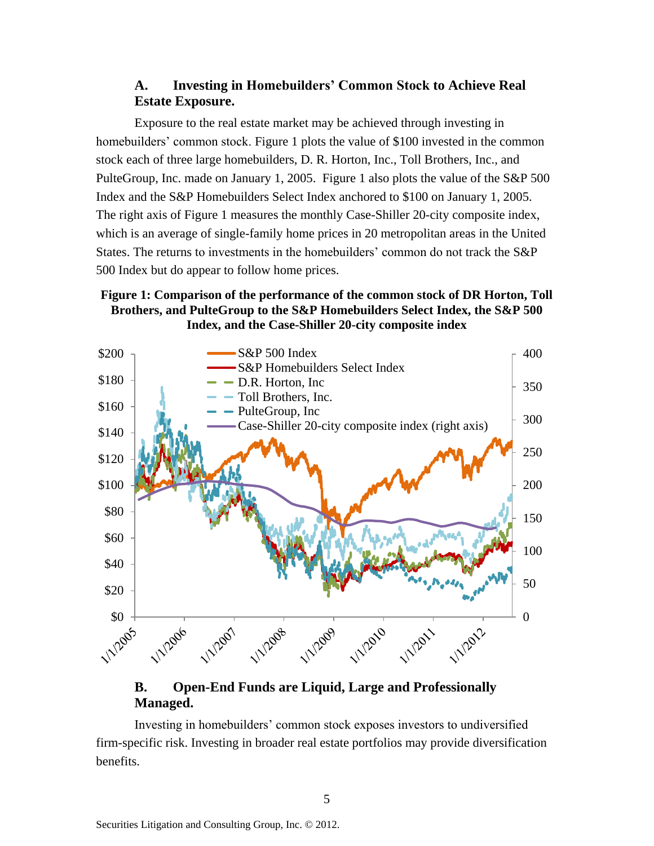## **A. Investing in Homebuilders' Common Stock to Achieve Real Estate Exposure.**

Exposure to the real estate market may be achieved through investing in homebuilders' common stock. [Figure 1](#page-4-0) plots the value of \$100 invested in the common stock each of three large homebuilders, D. R. Horton, Inc., Toll Brothers, Inc., and PulteGroup, Inc. made on January 1, 2005. Figure 1 also plots the value of the S&P 500 Index and the S&P Homebuilders Select Index anchored to \$100 on January 1, 2005. The right axis of [Figure 1](#page-4-0) measures the monthly Case-Shiller 20-city composite index, which is an average of single-family home prices in 20 metropolitan areas in the United States. The returns to investments in the homebuilders' common do not track the S&P 500 Index but do appear to follow home prices.

### <span id="page-4-0"></span>**Figure 1: Comparison of the performance of the common stock of DR Horton, Toll Brothers, and PulteGroup to the S&P Homebuilders Select Index, the S&P 500 Index, and the Case-Shiller 20-city composite index**



## **B. Open-End Funds are Liquid, Large and Professionally Managed.**

Investing in homebuilders' common stock exposes investors to undiversified firm-specific risk. Investing in broader real estate portfolios may provide diversification benefits.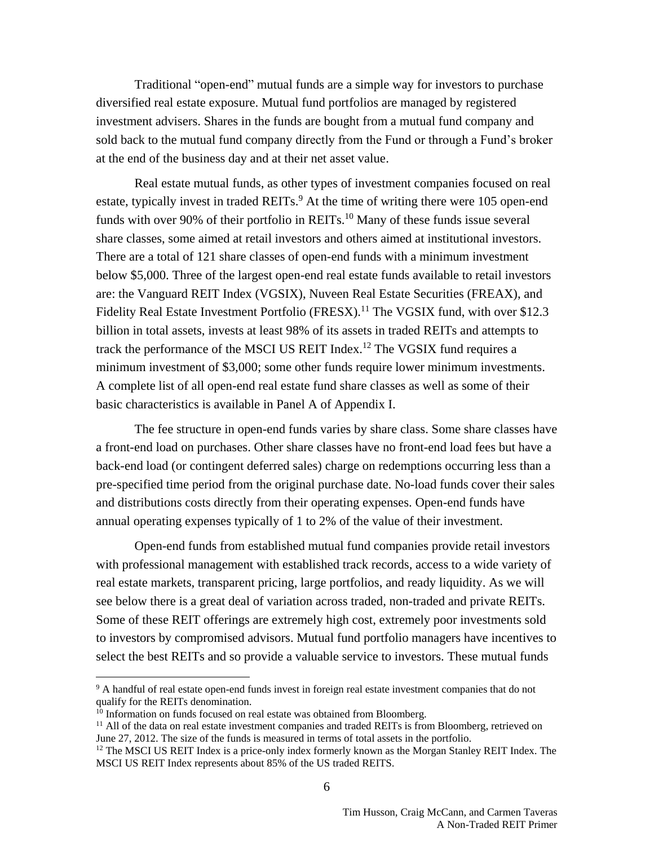Traditional "open-end" mutual funds are a simple way for investors to purchase diversified real estate exposure. Mutual fund portfolios are managed by registered investment advisers. Shares in the funds are bought from a mutual fund company and sold back to the mutual fund company directly from the Fund or through a Fund's broker at the end of the business day and at their net asset value.

Real estate mutual funds, as other types of investment companies focused on real estate, typically invest in traded REITs.<sup>9</sup> At the time of writing there were 105 open-end funds with over 90% of their portfolio in REITs.<sup>10</sup> Many of these funds issue several share classes, some aimed at retail investors and others aimed at institutional investors. There are a total of 121 share classes of open-end funds with a minimum investment below \$5,000. Three of the largest open-end real estate funds available to retail investors are: the Vanguard REIT Index (VGSIX), Nuveen Real Estate Securities (FREAX), and Fidelity Real Estate Investment Portfolio (FRESX).<sup>11</sup> The VGSIX fund, with over \$12.3 billion in total assets, invests at least 98% of its assets in traded REITs and attempts to track the performance of the MSCI US REIT Index.<sup>12</sup> The VGSIX fund requires a minimum investment of \$3,000; some other funds require lower minimum investments. A complete list of all open-end real estate fund share classes as well as some of their basic characteristics is available in Panel A of Appendix I.

The fee structure in open-end funds varies by share class. Some share classes have a front-end load on purchases. Other share classes have no front-end load fees but have a back-end load (or contingent deferred sales) charge on redemptions occurring less than a pre-specified time period from the original purchase date. No-load funds cover their sales and distributions costs directly from their operating expenses. Open-end funds have annual operating expenses typically of 1 to 2% of the value of their investment.

Open-end funds from established mutual fund companies provide retail investors with professional management with established track records, access to a wide variety of real estate markets, transparent pricing, large portfolios, and ready liquidity. As we will see below there is a great deal of variation across traded, non-traded and private REITs. Some of these REIT offerings are extremely high cost, extremely poor investments sold to investors by compromised advisors. Mutual fund portfolio managers have incentives to select the best REITs and so provide a valuable service to investors. These mutual funds

<sup>&</sup>lt;sup>9</sup> A handful of real estate open-end funds invest in foreign real estate investment companies that do not qualify for the REITs denomination.

 $10$  Information on funds focused on real estate was obtained from Bloomberg.

<sup>&</sup>lt;sup>11</sup> All of the data on real estate investment companies and traded REITs is from Bloomberg, retrieved on June 27, 2012. The size of the funds is measured in terms of total assets in the portfolio.

<sup>&</sup>lt;sup>12</sup> The MSCI US REIT Index is a price-only index formerly known as the Morgan Stanley REIT Index. The MSCI US REIT Index represents about 85% of the US traded REITS.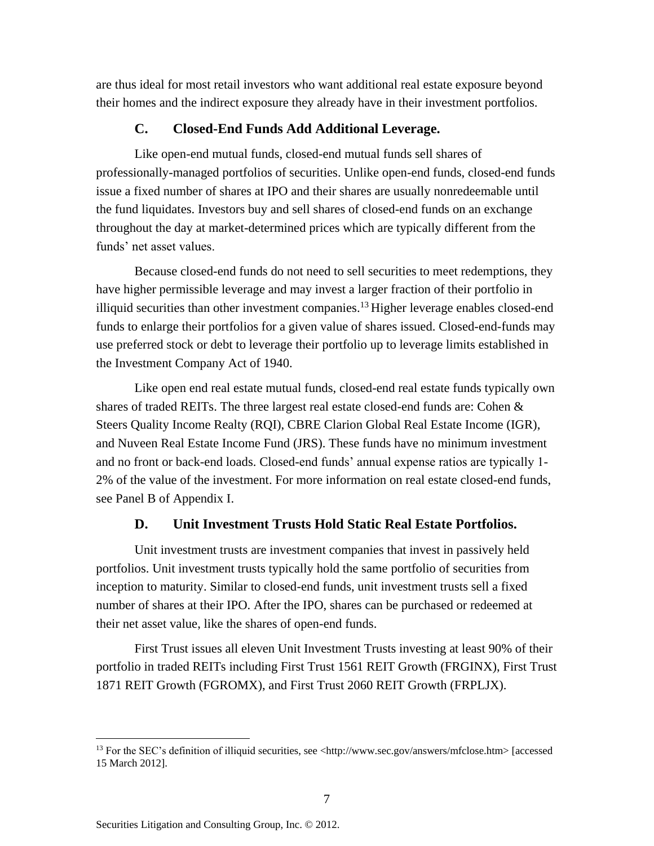are thus ideal for most retail investors who want additional real estate exposure beyond their homes and the indirect exposure they already have in their investment portfolios.

#### **C. Closed-End Funds Add Additional Leverage.**

Like open-end mutual funds, closed-end mutual funds sell shares of professionally-managed portfolios of securities. Unlike open-end funds, closed-end funds issue a fixed number of shares at IPO and their shares are usually nonredeemable until the fund liquidates. Investors buy and sell shares of closed-end funds on an exchange throughout the day at market-determined prices which are typically different from the funds' net asset values.

Because closed-end funds do not need to sell securities to meet redemptions, they have higher permissible leverage and may invest a larger fraction of their portfolio in illiquid securities than other investment companies.<sup>13</sup> Higher leverage enables closed-end funds to enlarge their portfolios for a given value of shares issued. Closed-end-funds may use preferred stock or debt to leverage their portfolio up to leverage limits established in the Investment Company Act of 1940.

Like open end real estate mutual funds, closed-end real estate funds typically own shares of traded REITs. The three largest real estate closed-end funds are: Cohen  $\&$ Steers Quality Income Realty (RQI), CBRE Clarion Global Real Estate Income (IGR), and Nuveen Real Estate Income Fund (JRS). These funds have no minimum investment and no front or back-end loads. Closed-end funds' annual expense ratios are typically 1- 2% of the value of the investment. For more information on real estate closed-end funds, see Panel B of Appendix I.

#### **D. Unit Investment Trusts Hold Static Real Estate Portfolios.**

Unit investment trusts are investment companies that invest in passively held portfolios. Unit investment trusts typically hold the same portfolio of securities from inception to maturity. Similar to closed-end funds, unit investment trusts sell a fixed number of shares at their IPO. After the IPO, shares can be purchased or redeemed at their net asset value, like the shares of open-end funds.

First Trust issues all eleven Unit Investment Trusts investing at least 90% of their portfolio in traded REITs including First Trust 1561 REIT Growth (FRGINX), First Trust 1871 REIT Growth (FGROMX), and First Trust 2060 REIT Growth (FRPLJX).

<sup>13</sup> For the SEC's definition of illiquid securities, see <http://www.sec.gov/answers/mfclose.htm> [accessed 15 March 2012].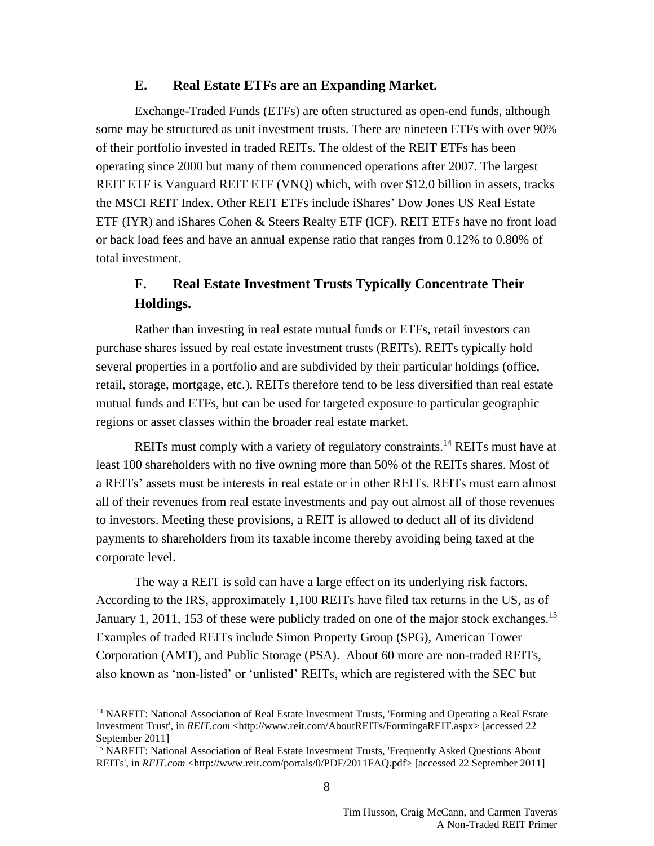#### **E. Real Estate ETFs are an Expanding Market.**

Exchange-Traded Funds (ETFs) are often structured as open-end funds, although some may be structured as unit investment trusts. There are nineteen ETFs with over 90% of their portfolio invested in traded REITs. The oldest of the REIT ETFs has been operating since 2000 but many of them commenced operations after 2007. The largest REIT ETF is Vanguard REIT ETF (VNQ) which, with over \$12.0 billion in assets, tracks the MSCI REIT Index. Other REIT ETFs include iShares' Dow Jones US Real Estate ETF (IYR) and iShares Cohen & Steers Realty ETF (ICF). REIT ETFs have no front load or back load fees and have an annual expense ratio that ranges from 0.12% to 0.80% of total investment.

## **F. Real Estate Investment Trusts Typically Concentrate Their Holdings.**

Rather than investing in real estate mutual funds or ETFs, retail investors can purchase shares issued by real estate investment trusts (REITs). REITs typically hold several properties in a portfolio and are subdivided by their particular holdings (office, retail, storage, mortgage, etc.). REITs therefore tend to be less diversified than real estate mutual funds and ETFs, but can be used for targeted exposure to particular geographic regions or asset classes within the broader real estate market.

REITs must comply with a variety of regulatory constraints.<sup>14</sup> REITs must have at least 100 shareholders with no five owning more than 50% of the REITs shares. Most of a REITs' assets must be interests in real estate or in other REITs. REITs must earn almost all of their revenues from real estate investments and pay out almost all of those revenues to investors. Meeting these provisions, a REIT is allowed to deduct all of its dividend payments to shareholders from its taxable income thereby avoiding being taxed at the corporate level.

The way a REIT is sold can have a large effect on its underlying risk factors. According to the IRS, approximately 1,100 REITs have filed tax returns in the US, as of January 1, 2011, 153 of these were publicly traded on one of the major stock exchanges.<sup>15</sup> Examples of traded REITs include Simon Property Group (SPG), American Tower Corporation (AMT), and Public Storage (PSA). About 60 more are non-traded REITs, also known as 'non-listed' or 'unlisted' REITs, which are registered with the SEC but

<sup>&</sup>lt;sup>14</sup> NAREIT: National Association of Real Estate Investment Trusts, 'Forming and Operating a Real Estate Investment Trust', in *REIT.com* [<http://www.reit.com/AboutREITs/FormingaREIT.aspx>](http://www.reit.com/AboutREITs/FormingaREIT.aspx) [accessed 22 September 2011]

<sup>&</sup>lt;sup>15</sup> NAREIT: National Association of Real Estate Investment Trusts, 'Frequently Asked Questions About REITs', in *REIT.com* [<http://www.reit.com/portals/0/PDF/2011FAQ.pdf>](http://www.reit.com/portals/0/PDF/2011FAQ.pdf) [accessed 22 September 2011]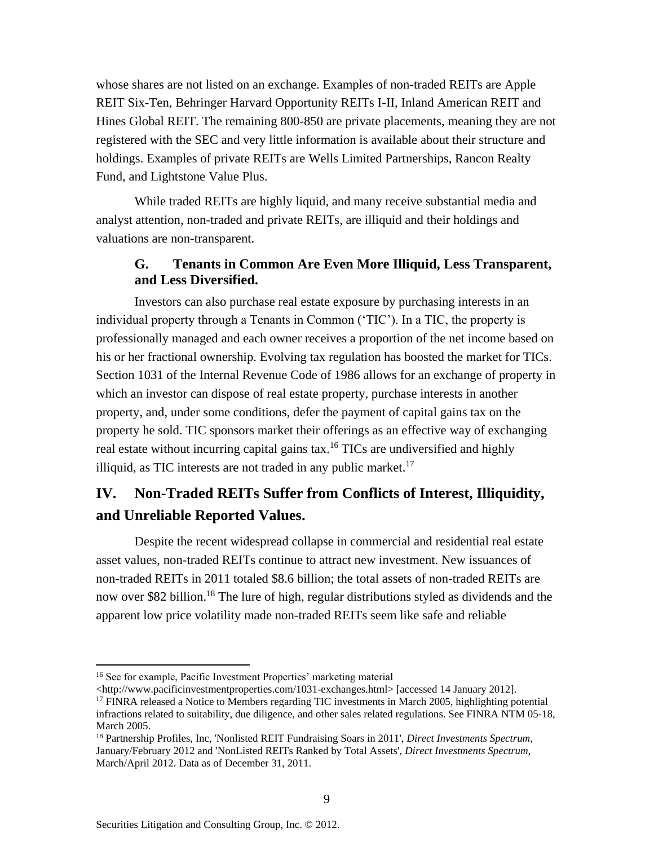whose shares are not listed on an exchange. Examples of non-traded REITs are Apple REIT Six-Ten, Behringer Harvard Opportunity REITs I-II, Inland American REIT and Hines Global REIT. The remaining 800-850 are private placements, meaning they are not registered with the SEC and very little information is available about their structure and holdings. Examples of private REITs are Wells Limited Partnerships, Rancon Realty Fund, and Lightstone Value Plus.

While traded REITs are highly liquid, and many receive substantial media and analyst attention, non-traded and private REITs, are illiquid and their holdings and valuations are non-transparent.

## **G. Tenants in Common Are Even More Illiquid, Less Transparent, and Less Diversified.**

Investors can also purchase real estate exposure by purchasing interests in an individual property through a Tenants in Common ('TIC'). In a TIC, the property is professionally managed and each owner receives a proportion of the net income based on his or her fractional ownership. Evolving tax regulation has boosted the market for TICs. Section 1031 of the Internal Revenue Code of 1986 allows for an exchange of property in which an investor can dispose of real estate property, purchase interests in another property, and, under some conditions, defer the payment of capital gains tax on the property he sold. TIC sponsors market their offerings as an effective way of exchanging real estate without incurring capital gains tax.<sup>16</sup> TICs are undiversified and highly illiquid, as TIC interests are not traded in any public market.<sup>17</sup>

# **IV. Non-Traded REITs Suffer from Conflicts of Interest, Illiquidity, and Unreliable Reported Values.**

Despite the recent widespread collapse in commercial and residential real estate asset values, non-traded REITs continue to attract new investment. New issuances of non-traded REITs in 2011 totaled \$8.6 billion; the total assets of non-traded REITs are now over \$82 billion.<sup>18</sup> The lure of high, regular distributions styled as dividends and the apparent low price volatility made non-traded REITs seem like safe and reliable

<sup>16</sup> See for example, Pacific Investment Properties' marketing material

<sup>&</sup>lt;http://www.pacificinvestmentproperties.com/1031-exchanges.html> [accessed 14 January 2012].

<sup>&</sup>lt;sup>17</sup> FINRA released a Notice to Members regarding TIC investments in March 2005, highlighting potential infractions related to suitability, due diligence, and other sales related regulations. See FINRA NTM 05-18, March 2005.

<sup>18</sup> Partnership Profiles, Inc, 'Nonlisted REIT Fundraising Soars in 2011', *Direct Investments Spectrum*, January/February 2012 and 'NonListed REITs Ranked by Total Assets', *Direct Investments Spectrum*, March/April 2012. Data as of December 31, 2011.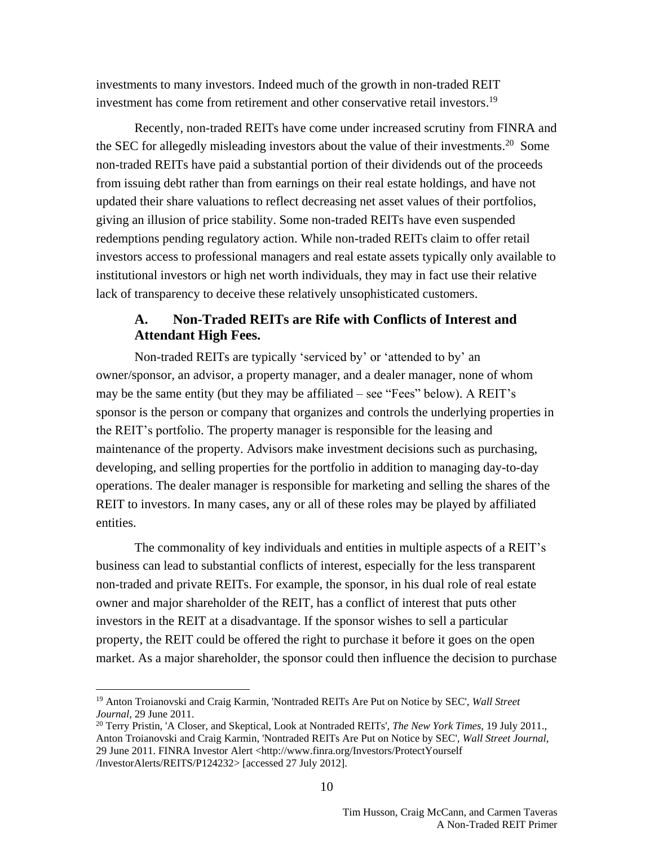investments to many investors. Indeed much of the growth in non-traded REIT investment has come from retirement and other conservative retail investors. 19

Recently, non-traded REITs have come under increased scrutiny from FINRA and the SEC for allegedly misleading investors about the value of their investments.<sup>20</sup> Some non-traded REITs have paid a substantial portion of their dividends out of the proceeds from issuing debt rather than from earnings on their real estate holdings, and have not updated their share valuations to reflect decreasing net asset values of their portfolios, giving an illusion of price stability. Some non-traded REITs have even suspended redemptions pending regulatory action. While non-traded REITs claim to offer retail investors access to professional managers and real estate assets typically only available to institutional investors or high net worth individuals, they may in fact use their relative lack of transparency to deceive these relatively unsophisticated customers.

## **A. Non-Traded REITs are Rife with Conflicts of Interest and Attendant High Fees.**

Non-traded REITs are typically 'serviced by' or 'attended to by' an owner/sponsor, an advisor, a property manager, and a dealer manager, none of whom may be the same entity (but they may be affiliated – see "Fees" below). A REIT's sponsor is the person or company that organizes and controls the underlying properties in the REIT's portfolio. The property manager is responsible for the leasing and maintenance of the property. Advisors make investment decisions such as purchasing, developing, and selling properties for the portfolio in addition to managing day-to-day operations. The dealer manager is responsible for marketing and selling the shares of the REIT to investors. In many cases, any or all of these roles may be played by affiliated entities.

The commonality of key individuals and entities in multiple aspects of a REIT's business can lead to substantial conflicts of interest, especially for the less transparent non-traded and private REITs. For example, the sponsor, in his dual role of real estate owner and major shareholder of the REIT, has a conflict of interest that puts other investors in the REIT at a disadvantage. If the sponsor wishes to sell a particular property, the REIT could be offered the right to purchase it before it goes on the open market. As a major shareholder, the sponsor could then influence the decision to purchase

<sup>19</sup> Anton Troianovski and Craig Karmin, 'Nontraded REITs Are Put on Notice by SEC', *Wall Street Journal*, 29 June 2011.

<sup>20</sup> Terry Pristin, 'A Closer, and Skeptical, Look at Nontraded REITs', *The New York Times*, 19 July 2011., Anton Troianovski and Craig Karmin, 'Nontraded REITs Are Put on Notice by SEC', *Wall Street Journal*, 29 June 2011. FINRA Investor Alert <http://www.finra.org/Investors/ProtectYourself /InvestorAlerts/REITS/P124232> [accessed 27 July 2012].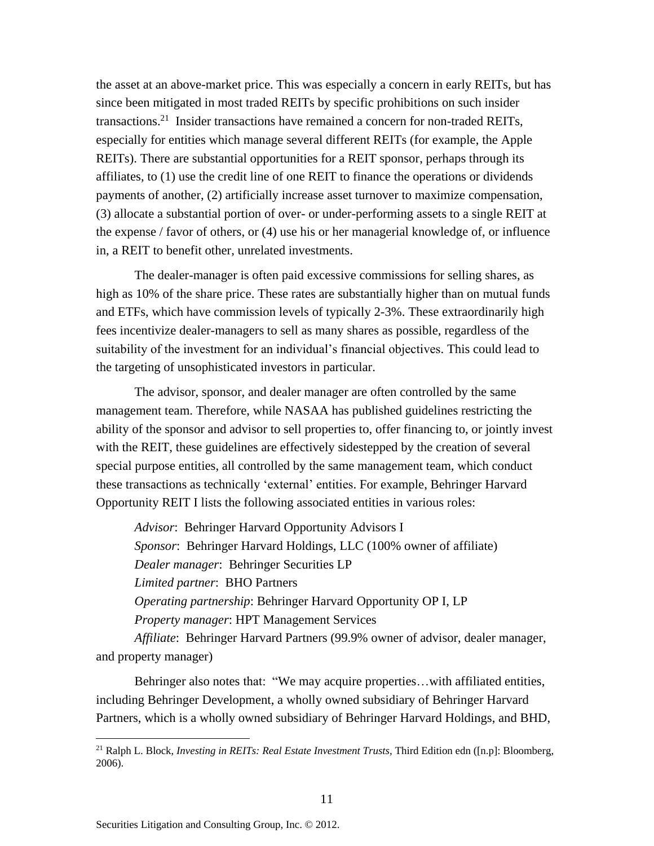the asset at an above-market price. This was especially a concern in early REITs, but has since been mitigated in most traded REITs by specific prohibitions on such insider transactions. 21 Insider transactions have remained a concern for non-traded REITs, especially for entities which manage several different REITs (for example, the Apple REITs). There are substantial opportunities for a REIT sponsor, perhaps through its affiliates, to (1) use the credit line of one REIT to finance the operations or dividends payments of another, (2) artificially increase asset turnover to maximize compensation, (3) allocate a substantial portion of over- or under-performing assets to a single REIT at the expense / favor of others, or (4) use his or her managerial knowledge of, or influence in, a REIT to benefit other, unrelated investments.

The dealer-manager is often paid excessive commissions for selling shares, as high as 10% of the share price. These rates are substantially higher than on mutual funds and ETFs, which have commission levels of typically 2-3%. These extraordinarily high fees incentivize dealer-managers to sell as many shares as possible, regardless of the suitability of the investment for an individual's financial objectives. This could lead to the targeting of unsophisticated investors in particular.

The advisor, sponsor, and dealer manager are often controlled by the same management team. Therefore, while NASAA has published guidelines restricting the ability of the sponsor and advisor to sell properties to, offer financing to, or jointly invest with the REIT, these guidelines are effectively sidestepped by the creation of several special purpose entities, all controlled by the same management team, which conduct these transactions as technically 'external' entities. For example, Behringer Harvard Opportunity REIT I lists the following associated entities in various roles:

*Advisor*: Behringer Harvard Opportunity Advisors I *Sponsor*: Behringer Harvard Holdings, LLC (100% owner of affiliate) *Dealer manager*: Behringer Securities LP *Limited partner*: BHO Partners *Operating partnership*: Behringer Harvard Opportunity OP I, LP *Property manager*: HPT Management Services

*Affiliate*: Behringer Harvard Partners (99.9% owner of advisor, dealer manager, and property manager)

Behringer also notes that: "We may acquire properties…with affiliated entities, including Behringer Development, a wholly owned subsidiary of Behringer Harvard Partners, which is a wholly owned subsidiary of Behringer Harvard Holdings, and BHD,

<sup>21</sup> Ralph L. Block, *Investing in REITs: Real Estate Investment Trusts*, Third Edition edn ([n.p]: Bloomberg, 2006).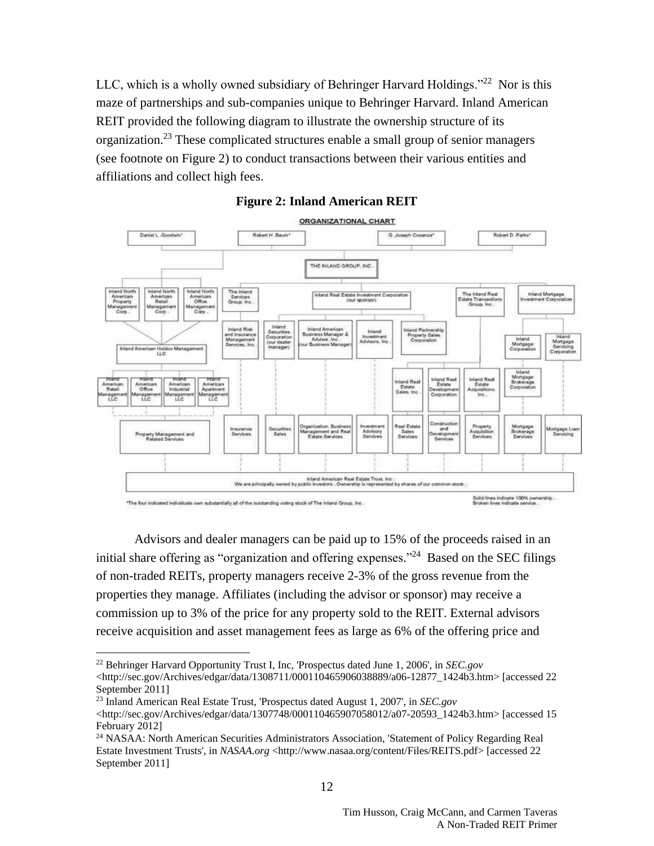LLC, which is a wholly owned subsidiary of Behringer Harvard Holdings."<sup>22</sup> Nor is this maze of partnerships and sub-companies unique to Behringer Harvard. Inland American REIT provided the following diagram to illustrate the ownership structure of its organization.<sup>23</sup> These complicated structures enable a small group of senior managers (see footnote on [Figure 2\)](#page-11-0) to conduct transactions between their various entities and affiliations and collect high fees.

<span id="page-11-0"></span>



Advisors and dealer managers can be paid up to 15% of the proceeds raised in an initial share offering as "organization and offering expenses."<sup>24</sup> Based on the SEC filings of non-traded REITs, property managers receive 2-3% of the gross revenue from the properties they manage. Affiliates (including the advisor or sponsor) may receive a commission up to 3% of the price for any property sold to the REIT. External advisors receive acquisition and asset management fees as large as 6% of the offering price and

 $\overline{a}$ <sup>22</sup> Behringer Harvard Opportunity Trust I, Inc, 'Prospectus dated June 1, 2006', in *SEC.gov* [<http://sec.gov/Archives/edgar/data/1308711/000110465906038889/a06-12877\\_1424b3.htm>](http://sec.gov/Archives/edgar/data/1308711/000110465906038889/a06-12877_1424b3.htm) [accessed 22 September 2011]

<sup>23</sup> Inland American Real Estate Trust, 'Prospectus dated August 1, 2007', in *SEC.gov* [<http://sec.gov/Archives/edgar/data/1307748/000110465907058012/a07-20593\\_1424b3.htm>](http://sec.gov/Archives/edgar/data/1307748/000110465907058012/a07-20593_1424b3.htm) [accessed 15 February 2012]

<sup>&</sup>lt;sup>24</sup> NASAA: North American Securities Administrators Association, 'Statement of Policy Regarding Real Estate Investment Trusts', in *NASAA.org* [<http://www.nasaa.org/content/Files/REITS.pdf>](http://www.nasaa.org/content/Files/REITS.pdf) [accessed 22 September 2011]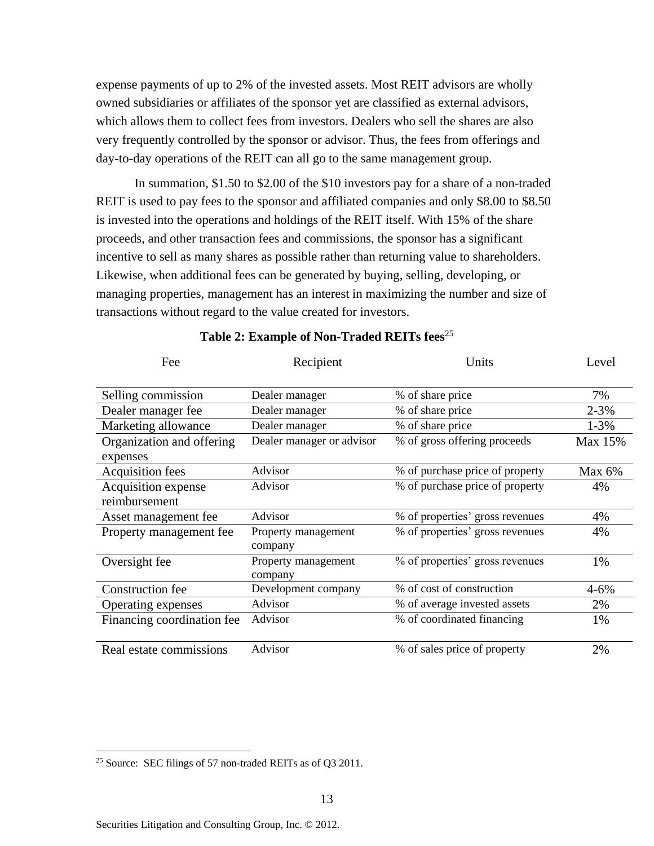expense payments of up to 2% of the invested assets. Most REIT advisors are wholly owned subsidiaries or affiliates of the sponsor yet are classified as external advisors, which allows them to collect fees from investors. Dealers who sell the shares are also very frequently controlled by the sponsor or advisor. Thus, the fees from offerings and day-to-day operations of the REIT can all go to the same management group.

In summation, \$1.50 to \$2.00 of the \$10 investors pay for a share of a non-traded REIT is used to pay fees to the sponsor and affiliated companies and only \$8.00 to \$8.50 is invested into the operations and holdings of the REIT itself. With 15% of the share proceeds, and other transaction fees and commissions, the sponsor has a significant incentive to sell as many shares as possible rather than returning value to shareholders. Likewise, when additional fees can be generated by buying, selling, developing, or managing properties, management has an interest in maximizing the number and size of transactions without regard to the value created for investors.

| Fee                        | Recipient                      | Units                           | Level     |
|----------------------------|--------------------------------|---------------------------------|-----------|
| Selling commission         | Dealer manager                 | % of share price                | 7%        |
| Dealer manager fee         | Dealer manager                 | % of share price                | $2 - 3\%$ |
| Marketing allowance        | Dealer manager                 | % of share price                | $1 - 3\%$ |
| Organization and offering  | Dealer manager or advisor      | % of gross offering proceeds    | Max 15%   |
| expenses                   |                                |                                 |           |
| Acquisition fees           | Advisor                        | % of purchase price of property | Max $6%$  |
| Acquisition expense        | Advisor                        | % of purchase price of property | 4%        |
| reimbursement              |                                |                                 |           |
| Asset management fee       | Advisor                        | % of properties' gross revenues | 4%        |
| Property management fee    | Property management<br>company | % of properties' gross revenues | 4%        |
| Oversight fee              | Property management<br>company | % of properties' gross revenues | 1%        |
| Construction fee           | Development company            | % of cost of construction       | $4 - 6\%$ |
| Operating expenses         | Advisor                        | % of average invested assets    | 2%        |
| Financing coordination fee | Advisor                        | % of coordinated financing      | 1%        |
| Real estate commissions    | Advisor                        | % of sales price of property    | 2%        |

#### **Table 2: Example of Non-Traded REITs fees**<sup>25</sup>

<sup>&</sup>lt;sup>25</sup> Source: SEC filings of 57 non-traded REITs as of Q3 2011.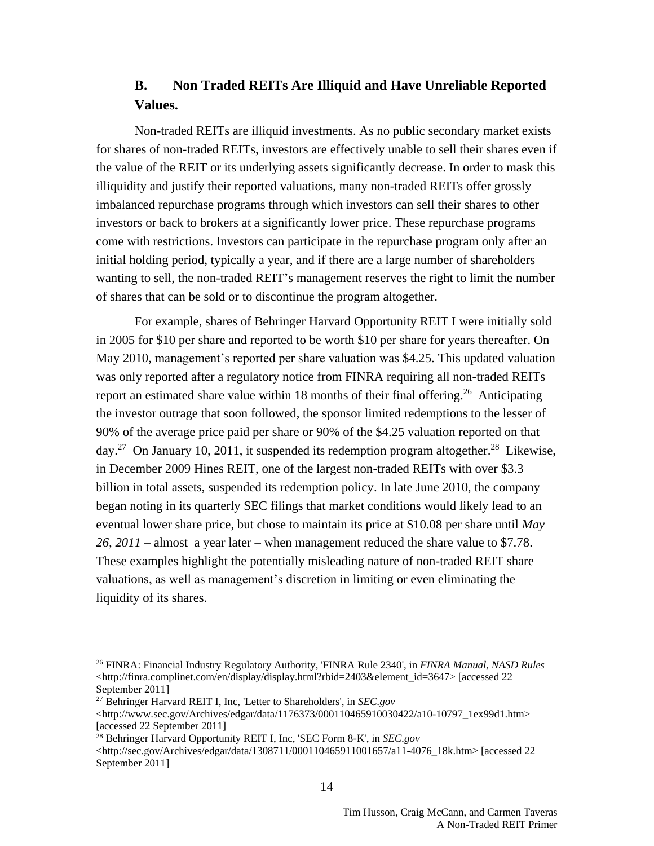## **B. Non Traded REITs Are Illiquid and Have Unreliable Reported Values.**

Non-traded REITs are illiquid investments. As no public secondary market exists for shares of non-traded REITs, investors are effectively unable to sell their shares even if the value of the REIT or its underlying assets significantly decrease. In order to mask this illiquidity and justify their reported valuations, many non-traded REITs offer grossly imbalanced repurchase programs through which investors can sell their shares to other investors or back to brokers at a significantly lower price. These repurchase programs come with restrictions. Investors can participate in the repurchase program only after an initial holding period, typically a year, and if there are a large number of shareholders wanting to sell, the non-traded REIT's management reserves the right to limit the number of shares that can be sold or to discontinue the program altogether.

For example, shares of Behringer Harvard Opportunity REIT I were initially sold in 2005 for \$10 per share and reported to be worth \$10 per share for years thereafter. On May 2010, management's reported per share valuation was \$4.25. This updated valuation was only reported after a regulatory notice from FINRA requiring all non-traded REITs report an estimated share value within 18 months of their final offering.<sup>26</sup> Anticipating the investor outrage that soon followed, the sponsor limited redemptions to the lesser of 90% of the average price paid per share or 90% of the \$4.25 valuation reported on that day.<sup>27</sup> On January 10, 2011, it suspended its redemption program altogether.<sup>28</sup> Likewise, in December 2009 Hines REIT, one of the largest non-traded REITs with over \$3.3 billion in total assets, suspended its redemption policy. In late June 2010, the company began noting in its quarterly SEC filings that market conditions would likely lead to an eventual lower share price, but chose to maintain its price at \$10.08 per share until *May 26, 2011 –* almost a year later – when management reduced the share value to \$7.78. These examples highlight the potentially misleading nature of non-traded REIT share valuations, as well as management's discretion in limiting or even eliminating the liquidity of its shares.

<sup>26</sup> FINRA: Financial Industry Regulatory Authority, 'FINRA Rule 2340', in *FINRA Manual, NASD Rules* [<http://finra.complinet.com/en/display/display.html?rbid=2403&element\\_id=3647>](http://finra.complinet.com/en/display/display.html?rbid=2403&element_id=3647) [accessed 22 September 2011]

<sup>27</sup> Behringer Harvard REIT I, Inc, 'Letter to Shareholders', in *SEC.gov*

[<sup>&</sup>lt;http://www.sec.gov/Archives/edgar/data/1176373/000110465910030422/a10-10797\\_1ex99d1.htm>](http://www.sec.gov/Archives/edgar/data/1176373/000110465910030422/a10-10797_1ex99d1.htm) [accessed 22 September 2011]

<sup>28</sup> Behringer Harvard Opportunity REIT I, Inc, 'SEC Form 8-K', in *SEC.gov*

[<sup>&</sup>lt;http://sec.gov/Archives/edgar/data/1308711/000110465911001657/a11-4076\\_18k.htm>](http://sec.gov/Archives/edgar/data/1308711/000110465911001657/a11-4076_18k.htm) [accessed 22 September 2011]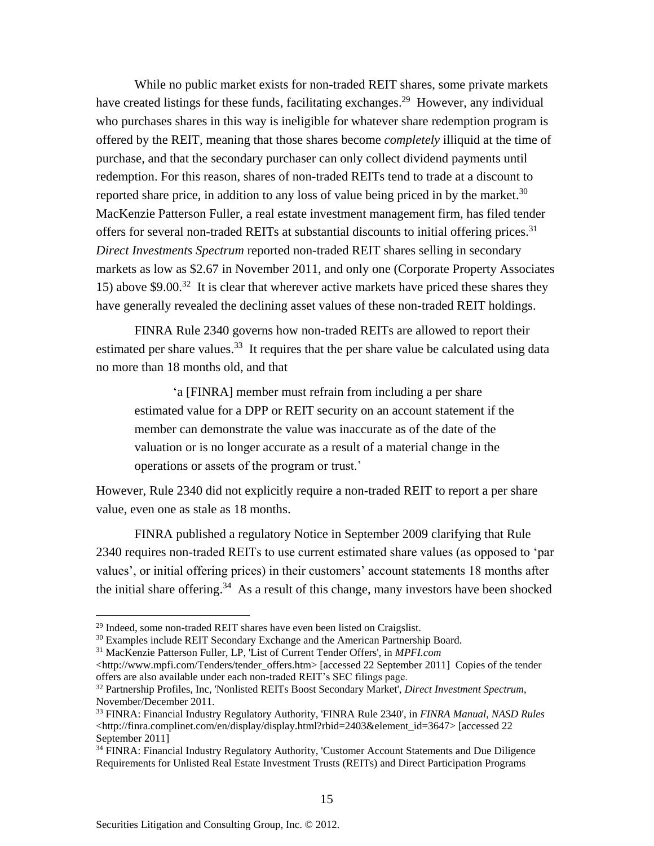While no public market exists for non-traded REIT shares, some private markets have created listings for these funds, facilitating exchanges.<sup>29</sup> However, any individual who purchases shares in this way is ineligible for whatever share redemption program is offered by the REIT, meaning that those shares become *completely* illiquid at the time of purchase, and that the secondary purchaser can only collect dividend payments until redemption. For this reason, shares of non-traded REITs tend to trade at a discount to reported share price, in addition to any loss of value being priced in by the market. $30$ MacKenzie Patterson Fuller, a real estate investment management firm, has filed tender offers for several non-traded REITs at substantial discounts to initial offering prices.<sup>31</sup> *Direct Investments Spectrum* reported non-traded REIT shares selling in secondary markets as low as \$2.67 in November 2011, and only one (Corporate Property Associates 15) above \$9.00.<sup>32</sup> It is clear that wherever active markets have priced these shares they have generally revealed the declining asset values of these non-traded REIT holdings.

FINRA Rule 2340 governs how non-traded REITs are allowed to report their estimated per share values.<sup>33</sup> It requires that the per share value be calculated using data no more than 18 months old, and that

'a [FINRA] member must refrain from including a per share estimated value for a DPP or REIT security on an account statement if the member can demonstrate the value was inaccurate as of the date of the valuation or is no longer accurate as a result of a material change in the operations or assets of the program or trust.'

However, Rule 2340 did not explicitly require a non-traded REIT to report a per share value, even one as stale as 18 months.

FINRA published a regulatory Notice in September 2009 clarifying that Rule 2340 requires non-traded REITs to use current estimated share values (as opposed to 'par values', or initial offering prices) in their customers' account statements 18 months after the initial share offering.<sup>34</sup> As a result of this change, many investors have been shocked

 $29$  Indeed, some non-traded REIT shares have even been listed on Craigslist.

<sup>&</sup>lt;sup>30</sup> Examples include REIT Secondary Exchange and the American Partnership Board.

<sup>31</sup> MacKenzie Patterson Fuller, LP, 'List of Current Tender Offers', in *MPFI.com*

[<sup>&</sup>lt;http://www.mpfi.com/Tenders/tender\\_offers.htm>](http://www.mpfi.com/Tenders/tender_offers.htm) [accessed 22 September 2011] Copies of the tender offers are also available under each non-traded REIT's SEC filings page.

<sup>32</sup> Partnership Profiles, Inc, 'Nonlisted REITs Boost Secondary Market', *Direct Investment Spectrum*, November/December 2011.

<sup>33</sup> FINRA: Financial Industry Regulatory Authority, 'FINRA Rule 2340', in *FINRA Manual, NASD Rules* [<http://finra.complinet.com/en/display/display.html?rbid=2403&element\\_id=3647>](http://finra.complinet.com/en/display/display.html?rbid=2403&element_id=3647) [accessed 22 September 2011]

<sup>34</sup> FINRA: Financial Industry Regulatory Authority, 'Customer Account Statements and Due Diligence Requirements for Unlisted Real Estate Investment Trusts (REITs) and Direct Participation Programs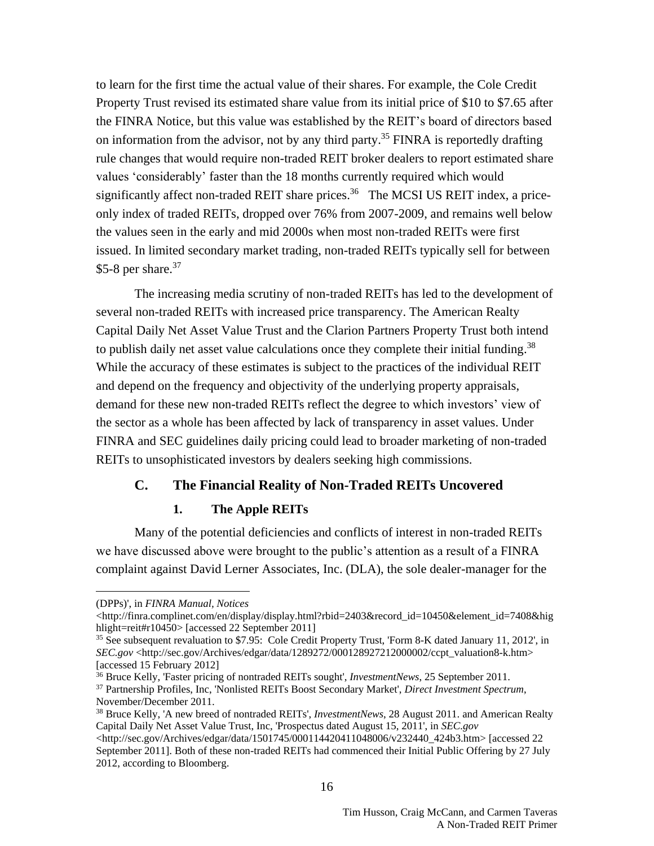to learn for the first time the actual value of their shares. For example, the Cole Credit Property Trust revised its estimated share value from its initial price of \$10 to \$7.65 after the FINRA Notice, but this value was established by the REIT's board of directors based on information from the advisor, not by any third party.<sup>35</sup> FINRA is reportedly drafting rule changes that would require non-traded REIT broker dealers to report estimated share values 'considerably' faster than the 18 months currently required which would significantly affect non-traded REIT share prices.<sup>36</sup> The MCSI US REIT index, a priceonly index of traded REITs, dropped over 76% from 2007-2009, and remains well below the values seen in the early and mid 2000s when most non-traded REITs were first issued. In limited secondary market trading, non-traded REITs typically sell for between \$5-8 per share. $37$ 

The increasing media scrutiny of non-traded REITs has led to the development of several non-traded REITs with increased price transparency. The American Realty Capital Daily Net Asset Value Trust and the Clarion Partners Property Trust both intend to publish daily net asset value calculations once they complete their initial funding.<sup>38</sup> While the accuracy of these estimates is subject to the practices of the individual REIT and depend on the frequency and objectivity of the underlying property appraisals, demand for these new non-traded REITs reflect the degree to which investors' view of the sector as a whole has been affected by lack of transparency in asset values. Under FINRA and SEC guidelines daily pricing could lead to broader marketing of non-traded REITs to unsophisticated investors by dealers seeking high commissions.

### **C. The Financial Reality of Non-Traded REITs Uncovered**

#### **1. The Apple REITs**

Many of the potential deficiencies and conflicts of interest in non-traded REITs we have discussed above were brought to the public's attention as a result of a FINRA complaint against David Lerner Associates, Inc. (DLA), the sole dealer-manager for the

<sup>(</sup>DPPs)', in *FINRA Manual, Notices*

[<sup>&</sup>lt;http://finra.complinet.com/en/display/display.html?rbid=2403&record\\_id=10450&element\\_id=7408&hig](http://finra.complinet.com/en/display/display.html?rbid=2403&record_id=10450&element_id=7408&highlight=reit#r10450) [hlight=reit#r10450>](http://finra.complinet.com/en/display/display.html?rbid=2403&record_id=10450&element_id=7408&highlight=reit#r10450) [accessed 22 September 2011]

<sup>&</sup>lt;sup>35</sup> See subsequent revaluation to \$7.95: Cole Credit Property Trust, 'Form 8-K dated January 11, 2012', in *SEC.gov* [<http://sec.gov/Archives/edgar/data/1289272/000128927212000002/ccpt\\_valuation8-k.htm>](http://sec.gov/Archives/edgar/data/1289272/000128927212000002/ccpt_valuation8-k.htm) [accessed 15 February 2012]

<sup>36</sup> Bruce Kelly, 'Faster pricing of nontraded REITs sought', *InvestmentNews*, 25 September 2011.

<sup>37</sup> Partnership Profiles, Inc, 'Nonlisted REITs Boost Secondary Market', *Direct Investment Spectrum*, November/December 2011.

<sup>38</sup> Bruce Kelly, 'A new breed of nontraded REITs', *InvestmentNews*, 28 August 2011. and American Realty Capital Daily Net Asset Value Trust, Inc, 'Prospectus dated August 15, 2011', in *SEC.gov*

 $\lt$ http://sec.gov/Archives/edgar/data/1501745/000114420411048006/v232440\_424b3.htm> [accessed 22] September 2011]. Both of these non-traded REITs had commenced their Initial Public Offering by 27 July 2012, according to Bloomberg.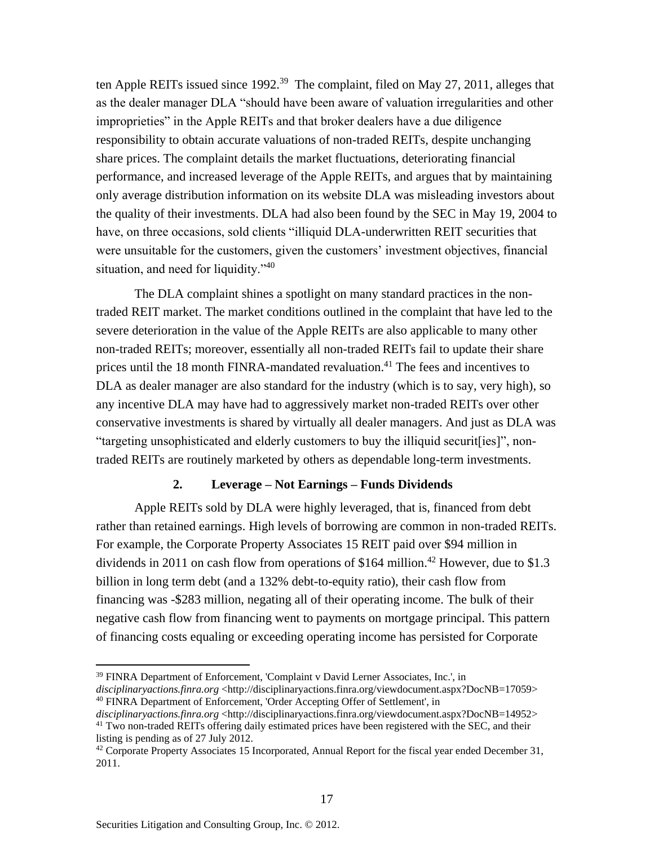ten Apple REITs issued since  $1992.^{39}$  The complaint, filed on May 27, 2011, alleges that as the dealer manager DLA "should have been aware of valuation irregularities and other improprieties" in the Apple REITs and that broker dealers have a due diligence responsibility to obtain accurate valuations of non-traded REITs, despite unchanging share prices. The complaint details the market fluctuations, deteriorating financial performance, and increased leverage of the Apple REITs, and argues that by maintaining only average distribution information on its website DLA was misleading investors about the quality of their investments. DLA had also been found by the SEC in May 19, 2004 to have, on three occasions, sold clients "illiquid DLA-underwritten REIT securities that were unsuitable for the customers, given the customers' investment objectives, financial situation, and need for liquidity."<sup>40</sup>

The DLA complaint shines a spotlight on many standard practices in the nontraded REIT market. The market conditions outlined in the complaint that have led to the severe deterioration in the value of the Apple REITs are also applicable to many other non-traded REITs; moreover, essentially all non-traded REITs fail to update their share prices until the 18 month FINRA-mandated revaluation.<sup>41</sup> The fees and incentives to DLA as dealer manager are also standard for the industry (which is to say, very high), so any incentive DLA may have had to aggressively market non-traded REITs over other conservative investments is shared by virtually all dealer managers. And just as DLA was "targeting unsophisticated and elderly customers to buy the illiquid securit[ies]", nontraded REITs are routinely marketed by others as dependable long-term investments.

#### **2. Leverage – Not Earnings – Funds Dividends**

Apple REITs sold by DLA were highly leveraged, that is, financed from debt rather than retained earnings. High levels of borrowing are common in non-traded REITs. For example, the Corporate Property Associates 15 REIT paid over \$94 million in dividends in 2011 on cash flow from operations of \$164 million. <sup>42</sup> However, due to \$1.3 billion in long term debt (and a 132% debt-to-equity ratio), their cash flow from financing was -\$283 million, negating all of their operating income. The bulk of their negative cash flow from financing went to payments on mortgage principal. This pattern of financing costs equaling or exceeding operating income has persisted for Corporate

<sup>39</sup> FINRA Department of Enforcement, 'Complaint v David Lerner Associates, Inc.', in *disciplinaryactions.finra.org* [<http://disciplinaryactions.finra.org/viewdocument.aspx?DocNB=17059>](http://disciplinaryactions.finra.org/viewdocument.aspx?DocNB=17059) <sup>40</sup> FINRA Department of Enforcement, 'Order Accepting Offer of Settlement', in

*disciplinaryactions.finra.org* [<http://disciplinaryactions.finra.org/viewdocument.aspx?DocNB=14952>](http://disciplinaryactions.finra.org/viewdocument.aspx?DocNB=14952) <sup>41</sup> Two non-traded REITs offering daily estimated prices have been registered with the SEC, and their listing is pending as of 27 July 2012.

 $42$  Corporate Property Associates 15 Incorporated, Annual Report for the fiscal year ended December 31, 2011.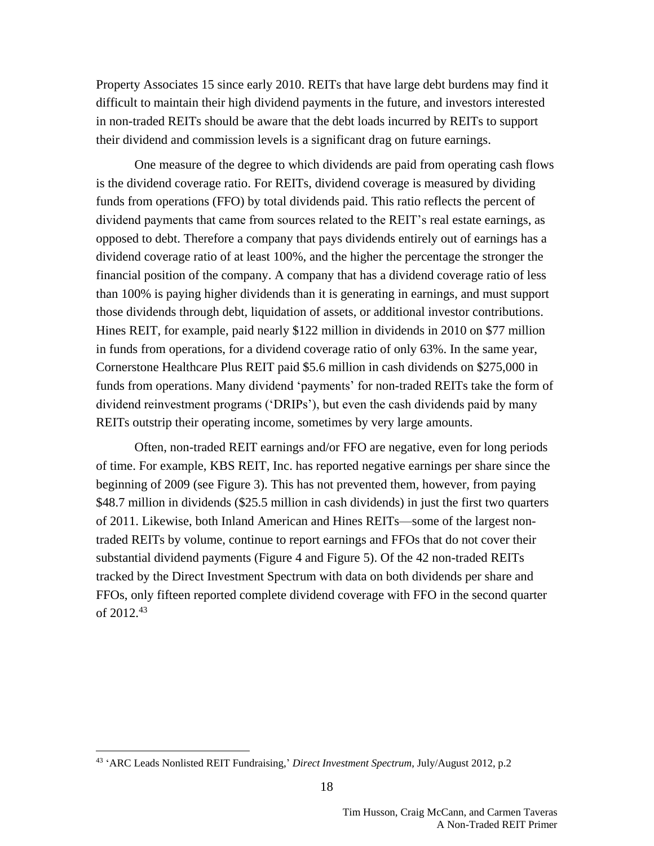Property Associates 15 since early 2010. REITs that have large debt burdens may find it difficult to maintain their high dividend payments in the future, and investors interested in non-traded REITs should be aware that the debt loads incurred by REITs to support their dividend and commission levels is a significant drag on future earnings.

One measure of the degree to which dividends are paid from operating cash flows is the dividend coverage ratio. For REITs, dividend coverage is measured by dividing funds from operations (FFO) by total dividends paid. This ratio reflects the percent of dividend payments that came from sources related to the REIT's real estate earnings, as opposed to debt. Therefore a company that pays dividends entirely out of earnings has a dividend coverage ratio of at least 100%, and the higher the percentage the stronger the financial position of the company. A company that has a dividend coverage ratio of less than 100% is paying higher dividends than it is generating in earnings, and must support those dividends through debt, liquidation of assets, or additional investor contributions. Hines REIT, for example, paid nearly \$122 million in dividends in 2010 on \$77 million in funds from operations, for a dividend coverage ratio of only 63%. In the same year, Cornerstone Healthcare Plus REIT paid \$5.6 million in cash dividends on \$275,000 in funds from operations. Many dividend 'payments' for non-traded REITs take the form of dividend reinvestment programs ('DRIPs'), but even the cash dividends paid by many REITs outstrip their operating income, sometimes by very large amounts.

Often, non-traded REIT earnings and/or FFO are negative, even for long periods of time. For example, KBS REIT, Inc. has reported negative earnings per share since the beginning of 2009 (see [Figure 3\)](#page-18-0). This has not prevented them, however, from paying \$48.7 million in dividends (\$25.5 million in cash dividends) in just the first two quarters of 2011. Likewise, both Inland American and Hines REITs—some of the largest nontraded REITs by volume, continue to report earnings and FFOs that do not cover their substantial dividend payments [\(Figure 4](#page-18-1) and [Figure 5\)](#page-19-0). Of the 42 non-traded REITs tracked by the Direct Investment Spectrum with data on both dividends per share and FFOs, only fifteen reported complete dividend coverage with FFO in the second quarter of 2012. 43

<sup>43</sup> 'ARC Leads Nonlisted REIT Fundraising,' *Direct Investment Spectrum*, July/August 2012, p.2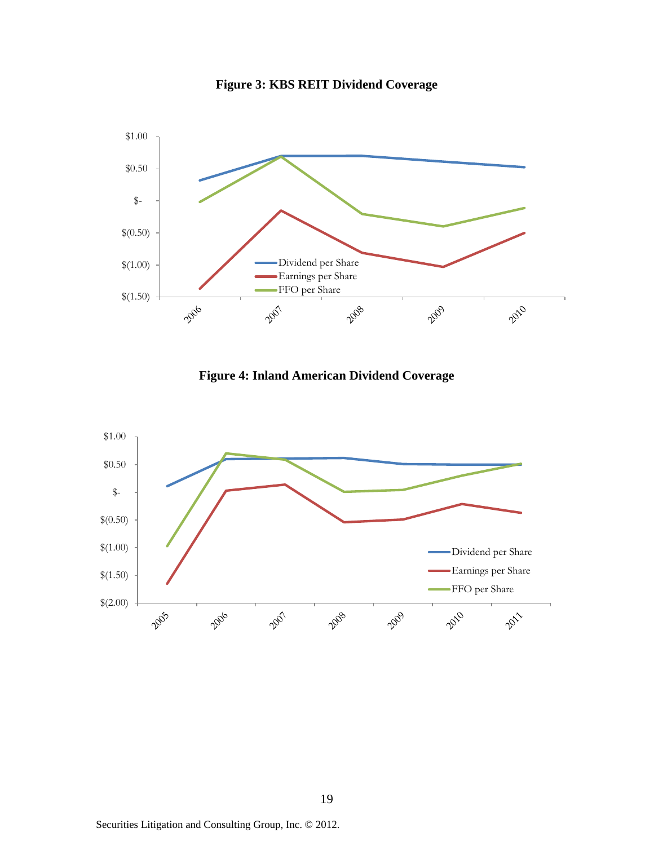

<span id="page-18-0"></span>**Figure 3: KBS REIT Dividend Coverage**

<span id="page-18-1"></span>

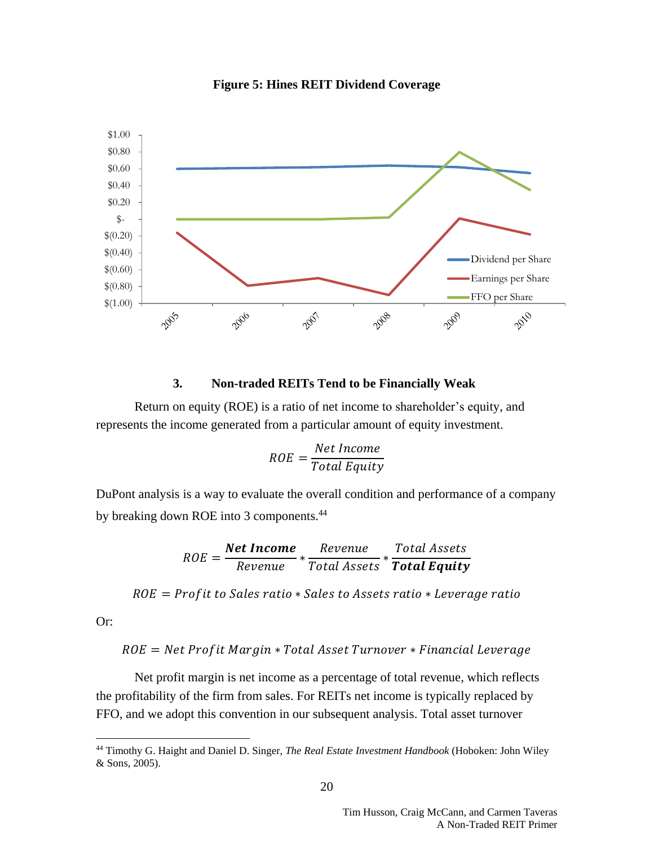

<span id="page-19-0"></span>**Figure 5: Hines REIT Dividend Coverage**

#### **3. Non-traded REITs Tend to be Financially Weak**

Return on equity (ROE) is a ratio of net income to shareholder's equity, and represents the income generated from a particular amount of equity investment.

$$
ROE = \frac{Net\ Income}{Total\ Equity}
$$

DuPont analysis is a way to evaluate the overall condition and performance of a company by breaking down ROE into 3 components.<sup>44</sup>

$$
ROE = \frac{Net Income}{Review} * \frac{Review}{Total Assets} * \frac{Total Assets}{Total Equity}
$$

 $ROE = Profit to Sales ratio * Sales to Assets ratio * Leverage ratio$ 

Or:

 $\overline{a}$ 

### $ROE = Net Profit Margin * Total Asset Turner * Financial Leverage$

Net profit margin is net income as a percentage of total revenue, which reflects the profitability of the firm from sales. For REITs net income is typically replaced by FFO, and we adopt this convention in our subsequent analysis. Total asset turnover

<sup>44</sup> Timothy G. Haight and Daniel D. Singer, *The Real Estate Investment Handbook* (Hoboken: John Wiley & Sons, 2005).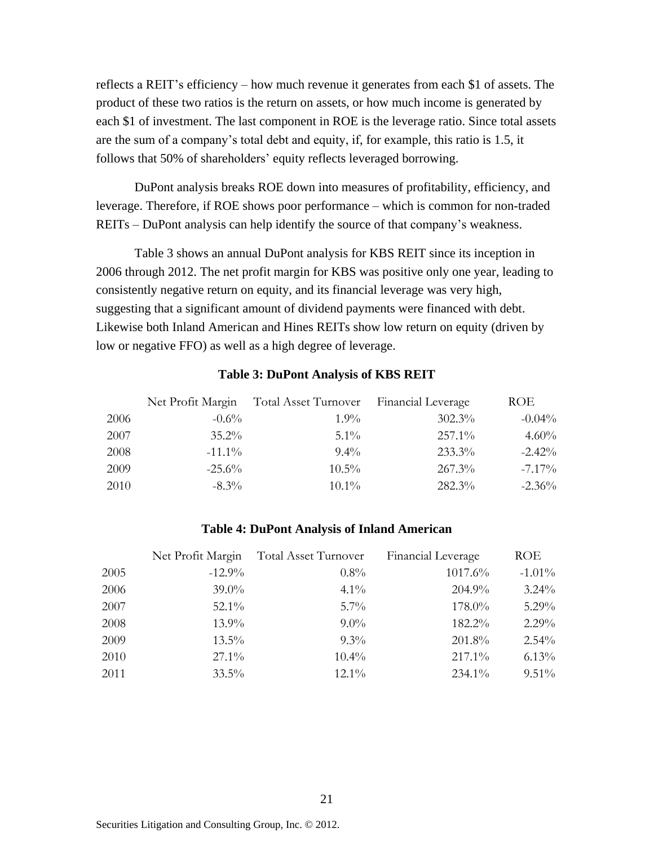reflects a REIT's efficiency – how much revenue it generates from each \$1 of assets. The product of these two ratios is the return on assets, or how much income is generated by each \$1 of investment. The last component in ROE is the leverage ratio. Since total assets are the sum of a company's total debt and equity, if, for example, this ratio is 1.5, it follows that 50% of shareholders' equity reflects leveraged borrowing.

DuPont analysis breaks ROE down into measures of profitability, efficiency, and leverage. Therefore, if ROE shows poor performance – which is common for non-traded REITs – DuPont analysis can help identify the source of that company's weakness.

[Table 3](#page-20-0) shows an annual DuPont analysis for KBS REIT since its inception in 2006 through 2012. The net profit margin for KBS was positive only one year, leading to consistently negative return on equity, and its financial leverage was very high, suggesting that a significant amount of dividend payments were financed with debt. Likewise both Inland American and Hines REITs show low return on equity (driven by low or negative FFO) as well as a high degree of leverage.

#### **Table 3: DuPont Analysis of KBS REIT**

<span id="page-20-0"></span>

|      |           | Net Profit Margin Total Asset Turnover Financial Leverage |           | ROE       |
|------|-----------|-----------------------------------------------------------|-----------|-----------|
| 2006 | $-0.6\%$  | $1.9\%$                                                   | 302.3%    | $-0.04\%$ |
| 2007 | $35.2\%$  | $5.1\%$                                                   | $257.1\%$ | 4.60%     |
| 2008 | $-11.1\%$ | $9.4\%$                                                   | 233.3%    | $-2.42%$  |
| 2009 | $-25.6\%$ | $10.5\%$                                                  | $267.3\%$ | $-7.17\%$ |
| 2010 | $-8.3\%$  | $10.1\%$                                                  | 282.3%    | $-2.36%$  |

#### **Table 4: DuPont Analysis of Inland American**

|      |           | Net Profit Margin Total Asset Turnover | Financial Leverage | <b>ROE</b> |
|------|-----------|----------------------------------------|--------------------|------------|
| 2005 | $-12.9\%$ | $0.8\%$                                | 1017.6%            | $-1.01\%$  |
| 2006 | $39.0\%$  | $4.1\%$                                | 204.9%             | $3.24\%$   |
| 2007 | $52.1\%$  | $5.7\%$                                | 178.0%             | $5.29\%$   |
| 2008 | $13.9\%$  | $9.0\%$                                | 182.2%             | $2.29\%$   |
| 2009 | $13.5\%$  | $9.3\%$                                | 201.8%             | 2.54%      |
| 2010 | $27.1\%$  | $10.4\%$                               | 217.1%             | 6.13%      |
| 2011 | $33.5\%$  | $12.1\%$                               | 234.1%             | $9.51\%$   |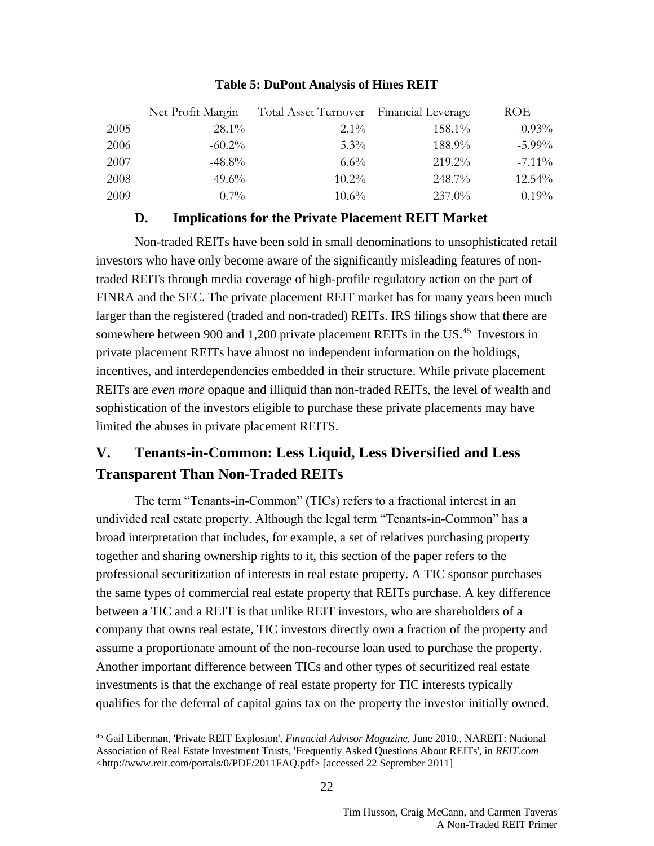|      | Net Profit Margin | Total Asset Turnover Financial Leverage |        | ROE       |
|------|-------------------|-----------------------------------------|--------|-----------|
| 2005 | $-28.1\%$         | $2.1\%$                                 | 158.1% | $-0.93%$  |
| 2006 | $-60.2\%$         | $5.3\%$                                 | 188.9% | $-5.99\%$ |
| 2007 | $-48.8\%$         | $6.6\%$                                 | 219.2% | $-7.11\%$ |
| 2008 | $-49.6\%$         | $10.2\%$                                | 248.7% | $-12.54%$ |
| 2009 | $0.7\%$           | $10.6\%$                                | 237.0% | 0.19%     |

### **Table 5: DuPont Analysis of Hines REIT**

### **D. Implications for the Private Placement REIT Market**

Non-traded REITs have been sold in small denominations to unsophisticated retail investors who have only become aware of the significantly misleading features of nontraded REITs through media coverage of high-profile regulatory action on the part of FINRA and the SEC. The private placement REIT market has for many years been much larger than the registered (traded and non-traded) REITs. IRS filings show that there are somewhere between 900 and 1,200 private placement REITs in the US.<sup>45</sup> Investors in private placement REITs have almost no independent information on the holdings, incentives, and interdependencies embedded in their structure. While private placement REITs are *even more* opaque and illiquid than non-traded REITs, the level of wealth and sophistication of the investors eligible to purchase these private placements may have limited the abuses in private placement REITS.

# **V. Tenants-in-Common: Less Liquid, Less Diversified and Less Transparent Than Non-Traded REITs**

The term "Tenants-in-Common" (TICs) refers to a fractional interest in an undivided real estate property. Although the legal term "Tenants-in-Common" has a broad interpretation that includes, for example, a set of relatives purchasing property together and sharing ownership rights to it, this section of the paper refers to the professional securitization of interests in real estate property. A TIC sponsor purchases the same types of commercial real estate property that REITs purchase. A key difference between a TIC and a REIT is that unlike REIT investors, who are shareholders of a company that owns real estate, TIC investors directly own a fraction of the property and assume a proportionate amount of the non-recourse loan used to purchase the property. Another important difference between TICs and other types of securitized real estate investments is that the exchange of real estate property for TIC interests typically qualifies for the deferral of capital gains tax on the property the investor initially owned.

<sup>45</sup> Gail Liberman, 'Private REIT Explosion', *Financial Advisor Magazine*, June 2010., NAREIT: National Association of Real Estate Investment Trusts, 'Frequently Asked Questions About REITs', in *REIT.com* [<http://www.reit.com/portals/0/PDF/2011FAQ.pdf>](http://www.reit.com/portals/0/PDF/2011FAQ.pdf) [accessed 22 September 2011]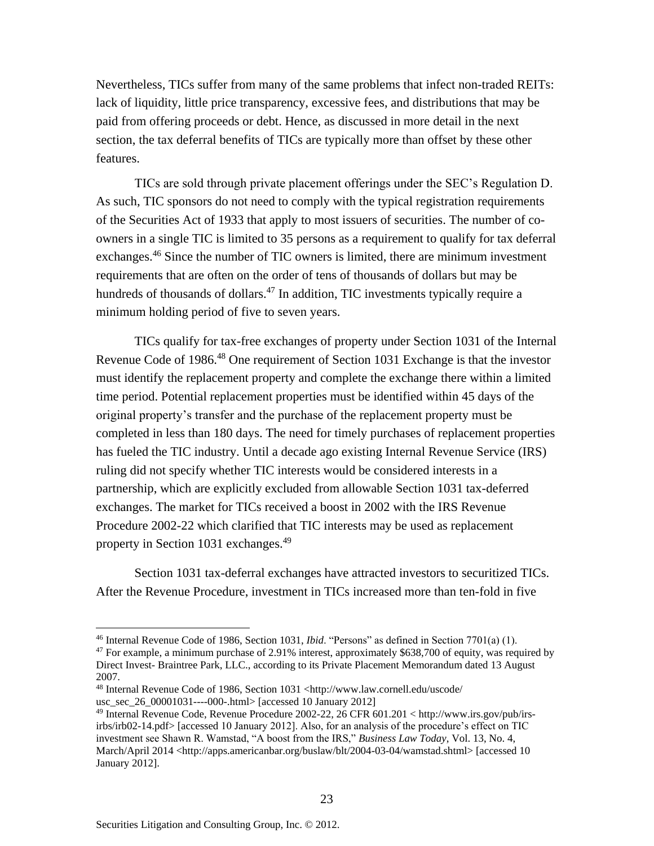Nevertheless, TICs suffer from many of the same problems that infect non-traded REITs: lack of liquidity, little price transparency, excessive fees, and distributions that may be paid from offering proceeds or debt. Hence, as discussed in more detail in the next section, the tax deferral benefits of TICs are typically more than offset by these other features.

TICs are sold through private placement offerings under the SEC's Regulation D. As such, TIC sponsors do not need to comply with the typical registration requirements of the Securities Act of 1933 that apply to most issuers of securities. The number of coowners in a single TIC is limited to 35 persons as a requirement to qualify for tax deferral exchanges.<sup>46</sup> Since the number of TIC owners is limited, there are minimum investment requirements that are often on the order of tens of thousands of dollars but may be hundreds of thousands of dollars.<sup>47</sup> In addition, TIC investments typically require a minimum holding period of five to seven years.

TICs qualify for tax-free exchanges of property under Section 1031 of the Internal Revenue Code of 1986.<sup>48</sup> One requirement of Section 1031 Exchange is that the investor must identify the replacement property and complete the exchange there within a limited time period. Potential replacement properties must be identified within 45 days of the original property's transfer and the purchase of the replacement property must be completed in less than 180 days. The need for timely purchases of replacement properties has fueled the TIC industry. Until a decade ago existing Internal Revenue Service (IRS) ruling did not specify whether TIC interests would be considered interests in a partnership, which are explicitly excluded from allowable Section 1031 tax-deferred exchanges. The market for TICs received a boost in 2002 with the IRS Revenue Procedure 2002-22 which clarified that TIC interests may be used as replacement property in Section 1031 exchanges.<sup>49</sup>

Section 1031 tax-deferral exchanges have attracted investors to securitized TICs. After the Revenue Procedure, investment in TICs increased more than ten-fold in five

<sup>46</sup> Internal Revenue Code of 1986, Section 1031, *Ibid*. "Persons" as defined in Section 7701(a) (1).

 $47$  For example, a minimum purchase of 2.91% interest, approximately \$638,700 of equity, was required by Direct Invest- Braintree Park, LLC., according to its Private Placement Memorandum dated 13 August 2007.

<sup>48</sup> Internal Revenue Code of 1986, Section 1031 <http://www.law.cornell.edu/uscode/ usc\_sec\_26\_00001031----000-.html> [accessed 10 January 2012]

<sup>49</sup> Internal Revenue Code, Revenue Procedure 2002-22, 26 CFR 601.201 < http://www.irs.gov/pub/irsirbs/irb02-14.pdf> [accessed 10 January 2012]. Also, for an analysis of the procedure's effect on TIC investment see Shawn R. Wamstad, "A boost from the IRS," *Business Law Today*, Vol. 13, No. 4, March/April 2014 <http://apps.americanbar.org/buslaw/blt/2004-03-04/wamstad.shtml> [accessed 10 January 2012].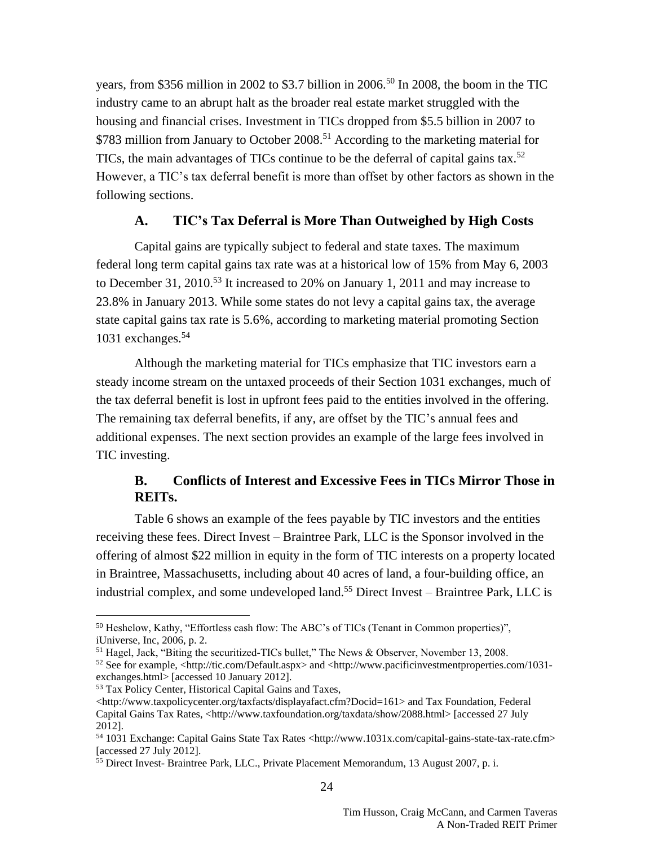years, from \$356 million in 2002 to \$3.7 billion in 2006.<sup>50</sup> In 2008, the boom in the TIC industry came to an abrupt halt as the broader real estate market struggled with the housing and financial crises. Investment in TICs dropped from \$5.5 billion in 2007 to \$783 million from January to October 2008.<sup>51</sup> According to the marketing material for TICs, the main advantages of TICs continue to be the deferral of capital gains tax.<sup>52</sup> However, a TIC's tax deferral benefit is more than offset by other factors as shown in the following sections.

### **A. TIC's Tax Deferral is More Than Outweighed by High Costs**

Capital gains are typically subject to federal and state taxes. The maximum federal long term capital gains tax rate was at a historical low of 15% from May 6, 2003 to December 31, 2010.<sup>53</sup> It increased to 20% on January 1, 2011 and may increase to 23.8% in January 2013. While some states do not levy a capital gains tax, the average state capital gains tax rate is 5.6%, according to marketing material promoting Section 1031 exchanges.<sup>54</sup>

Although the marketing material for TICs emphasize that TIC investors earn a steady income stream on the untaxed proceeds of their Section 1031 exchanges, much of the tax deferral benefit is lost in upfront fees paid to the entities involved in the offering. The remaining tax deferral benefits, if any, are offset by the TIC's annual fees and additional expenses. The next section provides an example of the large fees involved in TIC investing.

## **B. Conflicts of Interest and Excessive Fees in TICs Mirror Those in REITs.**

[Table 6](#page-24-0) shows an example of the fees payable by TIC investors and the entities receiving these fees. Direct Invest – Braintree Park, LLC is the Sponsor involved in the offering of almost \$22 million in equity in the form of TIC interests on a property located in Braintree, Massachusetts, including about 40 acres of land, a four-building office, an industrial complex, and some undeveloped land.<sup>55</sup> Direct Invest – Braintree Park, LLC is

<sup>&</sup>lt;sup>50</sup> Heshelow, Kathy, "Effortless cash flow: The ABC's of TICs (Tenant in Common properties)", iUniverse, Inc, 2006, p. 2.

<sup>&</sup>lt;sup>51</sup> Hagel, Jack, "Biting the securitized-TICs bullet," The News & Observer, November 13, 2008.

<sup>52</sup> See for example, <http://tic.com/Default.aspx> and <http://www.pacificinvestmentproperties.com/1031 exchanges.html> [accessed 10 January 2012].

<sup>53</sup> Tax Policy Center, Historical Capital Gains and Taxes,

 $\langle$ http://www.taxpolicycenter.org/taxfacts/displayafact.cfm?Docid=161> and Tax Foundation, Federal Capital Gains Tax Rates, <http://www.taxfoundation.org/taxdata/show/2088.html> [accessed 27 July 2012].

<sup>54</sup> 1031 Exchange: Capital Gains State Tax Rates <http://www.1031x.com/capital-gains-state-tax-rate.cfm> [accessed 27 July 2012].

<sup>55</sup> Direct Invest- Braintree Park, LLC., Private Placement Memorandum, 13 August 2007, p. i.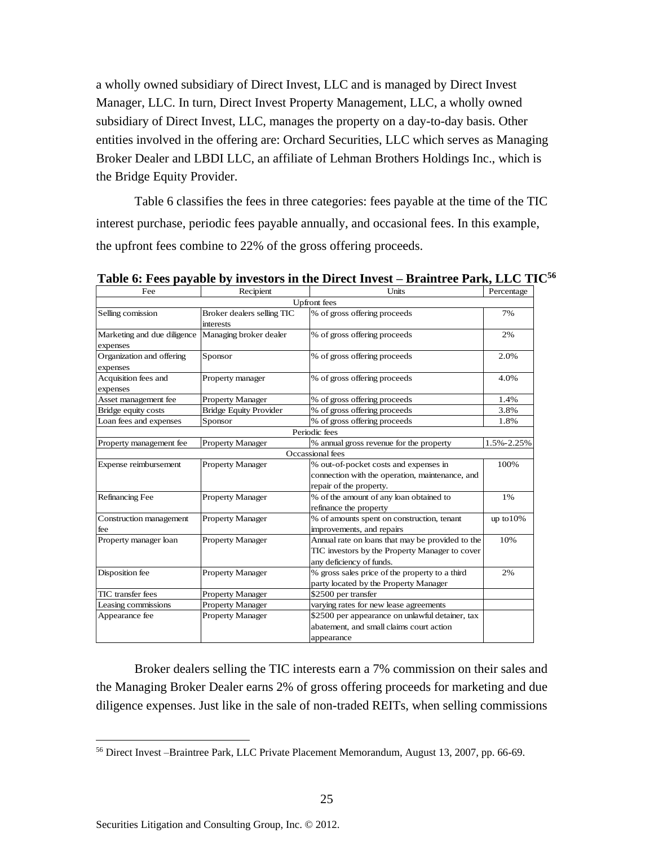a wholly owned subsidiary of Direct Invest, LLC and is managed by Direct Invest Manager, LLC. In turn, Direct Invest Property Management, LLC, a wholly owned subsidiary of Direct Invest, LLC, manages the property on a day-to-day basis. Other entities involved in the offering are: Orchard Securities, LLC which serves as Managing Broker Dealer and LBDI LLC, an affiliate of Lehman Brothers Holdings Inc., which is the Bridge Equity Provider.

[Table 6](#page-24-0) classifies the fees in three categories: fees payable at the time of the TIC interest purchase, periodic fees payable annually, and occasional fees. In this example, the upfront fees combine to 22% of the gross offering proceeds.

| Fee                         | Recipient                     | Units                                            | Percentage   |
|-----------------------------|-------------------------------|--------------------------------------------------|--------------|
|                             |                               | <b>Upfront</b> fees                              |              |
| Selling comission           | Broker dealers selling TIC    | % of gross offering proceeds                     | 7%           |
|                             | interests                     |                                                  |              |
| Marketing and due diligence | Managing broker dealer        | % of gross offering proceeds                     | 2%           |
| expenses                    |                               |                                                  |              |
| Organization and offering   | Sponsor                       | % of gross offering proceeds                     | 2.0%         |
| expenses                    |                               |                                                  |              |
| Acquisition fees and        | Property manager              | % of gross offering proceeds                     | 4.0%         |
| expenses                    |                               |                                                  |              |
| Asset management fee        | <b>Property Manager</b>       | % of gross offering proceeds                     | 1.4%         |
| Bridge equity costs         | <b>Bridge Equity Provider</b> | % of gross offering proceeds                     | 3.8%         |
| Loan fees and expenses      | Sponsor                       | % of gross offering proceeds                     | 1.8%         |
|                             |                               | Periodic fees                                    |              |
| Property management fee     | <b>Property Manager</b>       | % annual gross revenue for the property          | 1.5%-2.25%   |
|                             |                               | Occassional fees                                 |              |
| Expense reimbursement       | <b>Property Manager</b>       | % out-of-pocket costs and expenses in            | 100%         |
|                             |                               | connection with the operation, maintenance, and  |              |
|                             |                               | repair of the property.                          |              |
| Refinancing Fee             | <b>Property Manager</b>       | % of the amount of any loan obtained to          | 1%           |
|                             |                               | refinance the property                           |              |
| Construction management     | <b>Property Manager</b>       | % of amounts spent on construction, tenant       | up to $10\%$ |
| fee                         |                               | improvements, and repairs                        |              |
| Property manager loan       | <b>Property Manager</b>       | Annual rate on loans that may be provided to the | 10%          |
|                             |                               | TIC investors by the Property Manager to cover   |              |
|                             |                               | any deficiency of funds.                         |              |
| Disposition fee             | <b>Property Manager</b>       | % gross sales price of the property to a third   | 2%           |
|                             |                               | party located by the Property Manager            |              |
| TIC transfer fees           | <b>Property Manager</b>       | \$2500 per transfer                              |              |
| Leasing commissions         | <b>Property Manager</b>       | varying rates for new lease agreements           |              |
| Appearance fee              | <b>Property Manager</b>       | \$2500 per appearance on unlawful detainer, tax  |              |
|                             |                               | abatement, and small claims court action         |              |
|                             |                               | appearance                                       |              |

<span id="page-24-0"></span>**Table 6: Fees payable by investors in the Direct Invest – Braintree Park, LLC TIC<sup>56</sup>**

Broker dealers selling the TIC interests earn a 7% commission on their sales and the Managing Broker Dealer earns 2% of gross offering proceeds for marketing and due diligence expenses. Just like in the sale of non-traded REITs, when selling commissions

<sup>56</sup> Direct Invest –Braintree Park, LLC Private Placement Memorandum, August 13, 2007, pp. 66-69.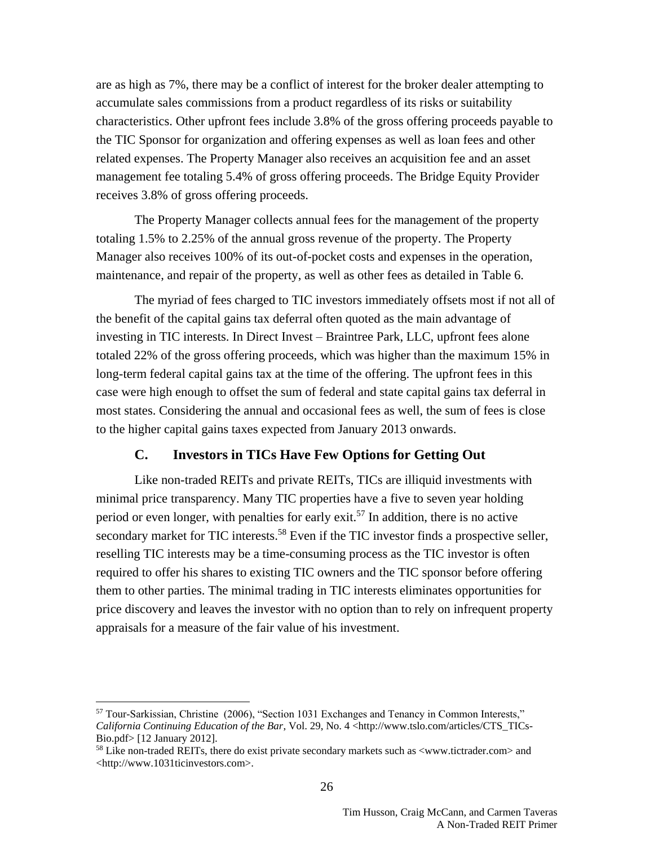are as high as 7%, there may be a conflict of interest for the broker dealer attempting to accumulate sales commissions from a product regardless of its risks or suitability characteristics. Other upfront fees include 3.8% of the gross offering proceeds payable to the TIC Sponsor for organization and offering expenses as well as loan fees and other related expenses. The Property Manager also receives an acquisition fee and an asset management fee totaling 5.4% of gross offering proceeds. The Bridge Equity Provider receives 3.8% of gross offering proceeds.

The Property Manager collects annual fees for the management of the property totaling 1.5% to 2.25% of the annual gross revenue of the property. The Property Manager also receives 100% of its out-of-pocket costs and expenses in the operation, maintenance, and repair of the property, as well as other fees as detailed in [Table 6.](#page-24-0)

The myriad of fees charged to TIC investors immediately offsets most if not all of the benefit of the capital gains tax deferral often quoted as the main advantage of investing in TIC interests. In Direct Invest – Braintree Park, LLC, upfront fees alone totaled 22% of the gross offering proceeds, which was higher than the maximum 15% in long-term federal capital gains tax at the time of the offering. The upfront fees in this case were high enough to offset the sum of federal and state capital gains tax deferral in most states. Considering the annual and occasional fees as well, the sum of fees is close to the higher capital gains taxes expected from January 2013 onwards.

#### **C. Investors in TICs Have Few Options for Getting Out**

Like non-traded REITs and private REITs, TICs are illiquid investments with minimal price transparency. Many TIC properties have a five to seven year holding period or even longer, with penalties for early exit.<sup>57</sup> In addition, there is no active secondary market for TIC interests.<sup>58</sup> Even if the TIC investor finds a prospective seller, reselling TIC interests may be a time-consuming process as the TIC investor is often required to offer his shares to existing TIC owners and the TIC sponsor before offering them to other parties. The minimal trading in TIC interests eliminates opportunities for price discovery and leaves the investor with no option than to rely on infrequent property appraisals for a measure of the fair value of his investment.

<sup>57</sup> Tour-Sarkissian, Christine (2006), "Section 1031 Exchanges and Tenancy in Common Interests," *California Continuing Education of the Bar*, Vol. 29, No. 4 <http://www.tslo.com/articles/CTS\_TICs-Bio.pdf> [12 January 2012].

<sup>58</sup> Like non-traded REITs, there do exist private secondary markets such as <www.tictrader.com> and <http://www.1031ticinvestors.com>.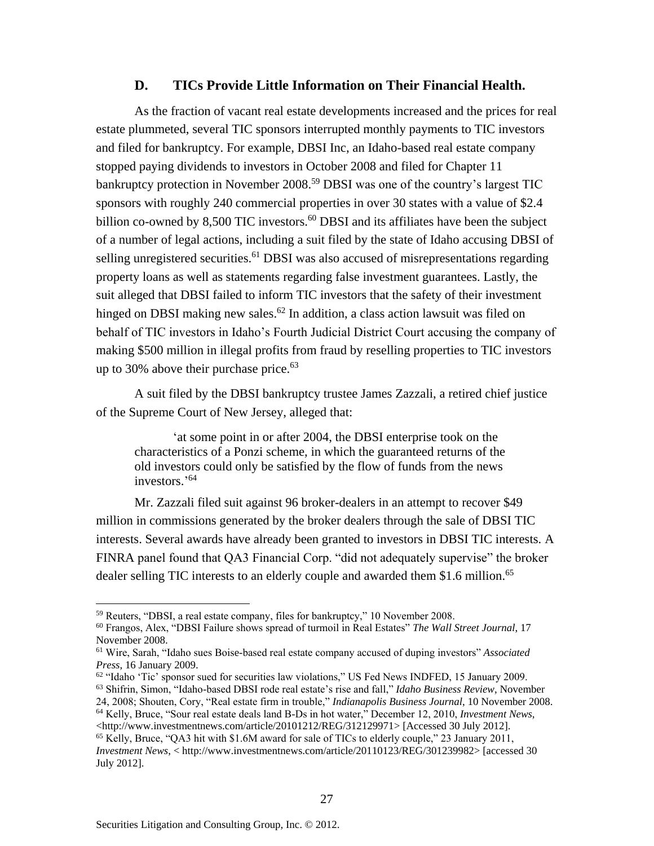#### **D. TICs Provide Little Information on Their Financial Health.**

As the fraction of vacant real estate developments increased and the prices for real estate plummeted, several TIC sponsors interrupted monthly payments to TIC investors and filed for bankruptcy. For example, DBSI Inc, an Idaho-based real estate company stopped paying dividends to investors in October 2008 and filed for Chapter 11 bankruptcy protection in November 2008.<sup>59</sup> DBSI was one of the country's largest TIC sponsors with roughly 240 commercial properties in over 30 states with a value of \$2.4 billion co-owned by 8,500 TIC investors. $60$  DBSI and its affiliates have been the subject of a number of legal actions, including a suit filed by the state of Idaho accusing DBSI of selling unregistered securities.<sup>61</sup> DBSI was also accused of misrepresentations regarding property loans as well as statements regarding false investment guarantees. Lastly, the suit alleged that DBSI failed to inform TIC investors that the safety of their investment hinged on DBSI making new sales.<sup>62</sup> In addition, a class action lawsuit was filed on behalf of TIC investors in Idaho's Fourth Judicial District Court accusing the company of making \$500 million in illegal profits from fraud by reselling properties to TIC investors up to 30% above their purchase price. $63$ 

A suit filed by the DBSI bankruptcy trustee James Zazzali, a retired chief justice of the Supreme Court of New Jersey, alleged that:

'at some point in or after 2004, the DBSI enterprise took on the characteristics of a Ponzi scheme, in which the guaranteed returns of the old investors could only be satisfied by the flow of funds from the news investors.' 64

Mr. Zazzali filed suit against 96 broker-dealers in an attempt to recover \$49 million in commissions generated by the broker dealers through the sale of DBSI TIC interests. Several awards have already been granted to investors in DBSI TIC interests. A FINRA panel found that QA3 Financial Corp. "did not adequately supervise" the broker dealer selling TIC interests to an elderly couple and awarded them \$1.6 million.<sup>65</sup>

24, 2008; Shouten, Cory, "Real estate firm in trouble," *Indianapolis Business Journal*, 10 November 2008. <sup>64</sup> Kelly, Bruce, "Sour real estate deals land B-Ds in hot water," December 12, 2010, *Investment News*,

<sup>59</sup> Reuters, "DBSI, a real estate company, files for bankruptcy," 10 November 2008.

<sup>60</sup> Frangos, Alex, "DBSI Failure shows spread of turmoil in Real Estates" *The Wall Street Journal*, 17 November 2008.

<sup>61</sup> Wire, Sarah, "Idaho sues Boise-based real estate company accused of duping investors" *Associated Press*, 16 January 2009.

<sup>&</sup>lt;sup>62</sup> "Idaho 'Tic' sponsor sued for securities law violations," US Fed News INDFED, 15 January 2009.

<sup>63</sup> Shifrin, Simon, "Idaho-based DBSI rode real estate's rise and fall," *Idaho Business Review*, November

<sup>&</sup>lt;http://www.investmentnews.com/article/20101212/REG/312129971> [Accessed 30 July 2012].

<sup>65</sup> Kelly, Bruce, "QA3 hit with \$1.6M award for sale of TICs to elderly couple," 23 January 2011, *Investment News*, < http://www.investmentnews.com/article/20110123/REG/301239982> [accessed 30 July 2012].